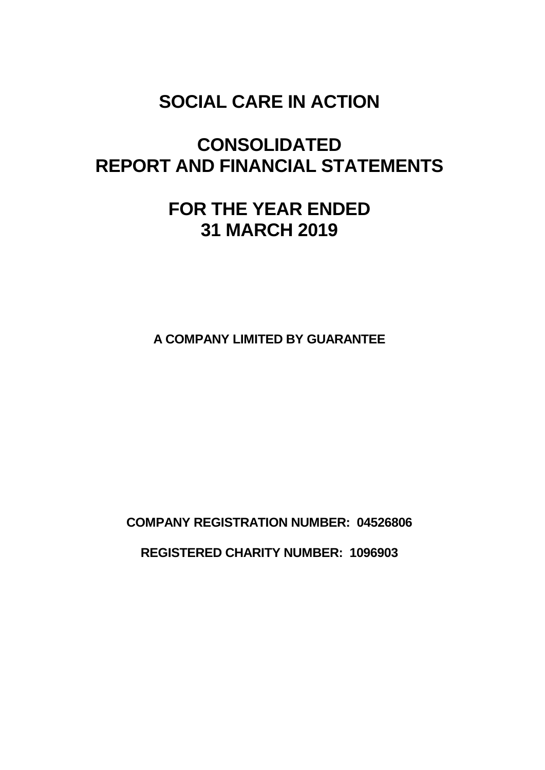# **CONSOLIDATED REPORT AND FINANCIAL STATEMENTS**

# **FOR THE YEAR ENDED 31 MARCH 2019**

**A COMPANY LIMITED BY GUARANTEE**

**COMPANY REGISTRATION NUMBER: 04526806 REGISTERED CHARITY NUMBER: 1096903**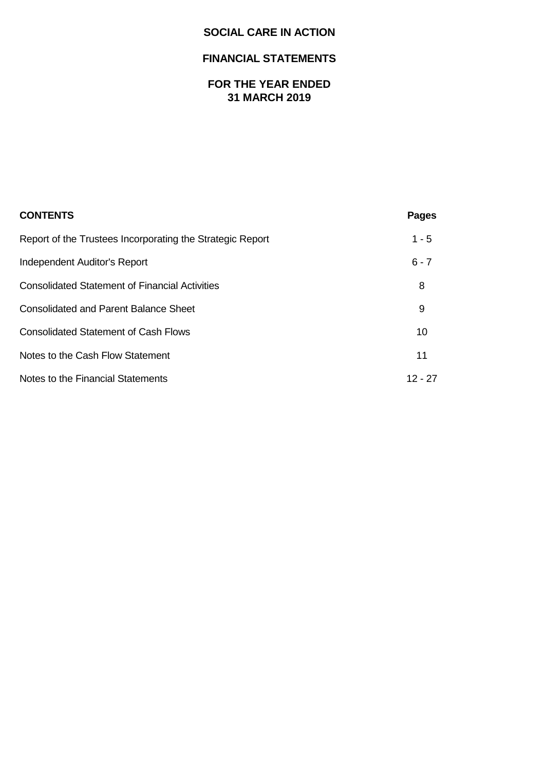## **FINANCIAL STATEMENTS**

## **FOR THE YEAR ENDED 31 MARCH 2019**

| <b>CONTENTS</b>                                           | <b>Pages</b> |
|-----------------------------------------------------------|--------------|
| Report of the Trustees Incorporating the Strategic Report | $1 - 5$      |
| Independent Auditor's Report                              | $6 - 7$      |
| <b>Consolidated Statement of Financial Activities</b>     | 8            |
| <b>Consolidated and Parent Balance Sheet</b>              | 9            |
| <b>Consolidated Statement of Cash Flows</b>               | 10           |
| Notes to the Cash Flow Statement                          | 11           |
| Notes to the Financial Statements                         | $12 - 27$    |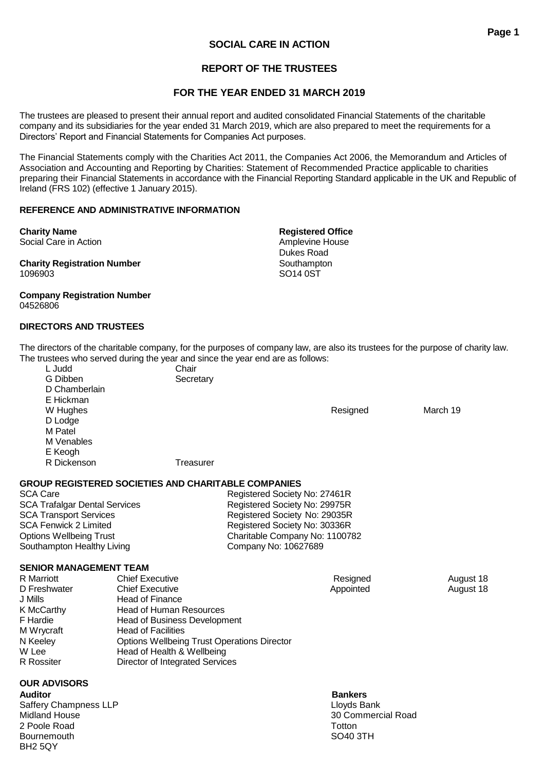## **REPORT OF THE TRUSTEES**

## **FOR THE YEAR ENDED 31 MARCH 2019**

The trustees are pleased to present their annual report and audited consolidated Financial Statements of the charitable company and its subsidiaries for the year ended 31 March 2019, which are also prepared to meet the requirements for a Directors' Report and Financial Statements for Companies Act purposes.

The Financial Statements comply with the Charities Act 2011, the Companies Act 2006, the Memorandum and Articles of Association and Accounting and Reporting by Charities: Statement of Recommended Practice applicable to charities preparing their Financial Statements in accordance with the Financial Reporting Standard applicable in the UK and Republic of Ireland (FRS 102) (effective 1 January 2015).

## **REFERENCE AND ADMINISTRATIVE INFORMATION**

**Charity Name Registered Office** Social Care in Action **Amplevine House** Amplevine House

**Charity Registration Number** Southampton 1096903 SO14 0ST

#### **Company Registration Number** 04526806

## **DIRECTORS AND TRUSTEES**

The directors of the charitable company, for the purposes of company law, are also its trustees for the purpose of charity law. The trustees who served during the year and since the year end are as follows:

L Judd Chair G Dibben Secretary D Chamberlain E Hickman W Hughes Resigned March 19 D Lodge M Patel M Venables E Keogh R Dickenson Treasurer

## **GROUP REGISTERED SOCIETIES AND CHARITABLE COMPANIES**

SCA Care Registered Society No: 27461R SCA Trafalgar Dental Services<br>
SCA Transport Services<br>
Registered Society No: 29035R<br>
Registered Society No: 29035R SCA Transport Services<br>
SCA Fenwick 2 Limited<br>
Registered Society No: 30336R<br>
Registered Society No: 30336R Registered Society No: 30336R Options Wellbeing Trust Charitable Company No: 1100782 Southampton Healthy Living Company No: 10627689

## **SENIOR MANAGEMENT TEAM**

| <b>Chief Executive</b>                             |           | August 18 |
|----------------------------------------------------|-----------|-----------|
| <b>Chief Executive</b>                             | Appointed | August 18 |
| Head of Finance                                    |           |           |
| <b>Head of Human Resources</b>                     |           |           |
| <b>Head of Business Development</b>                |           |           |
| <b>Head of Facilities</b>                          |           |           |
| <b>Options Wellbeing Trust Operations Director</b> |           |           |
| Head of Health & Wellbeing                         |           |           |
| Director of Integrated Services                    |           |           |
|                                                    |           | Resigned  |

## **OUR ADVISORS**

**Auditor Bankers** Saffery Champness LLP<br>
Midland House 88 and 2009 and 2009 and 2009 and 2009 and 2009 and 2009 and 2009 and 2009 and 2009 and 2009 an<br>
Midland House 2009 and 2009 and 2009 and 2009 and 2009 and 2009 and 2009 and 2009 and 20 2 Poole Road Totton Communication and the Communication Communication Communication Communication Communication Bournemouth SO40 3TH BH2 5QY

30 Commercial Road

Dukes Road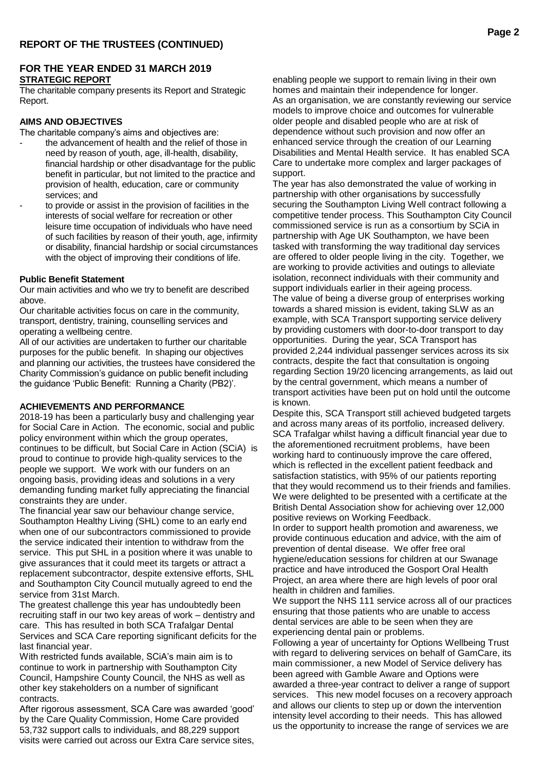## **FOR THE YEAR ENDED 31 MARCH 2019 STRATEGIC REPORT**

The charitable company presents its Report and Strategic Report.

## **AIMS AND OBJECTIVES**

The charitable company's aims and objectives are:

- the advancement of health and the relief of those in need by reason of youth, age, ill-health, disability, financial hardship or other disadvantage for the public benefit in particular, but not limited to the practice and provision of health, education, care or community services; and
	- to provide or assist in the provision of facilities in the interests of social welfare for recreation or other leisure time occupation of individuals who have need of such facilities by reason of their youth, age, infirmity or disability, financial hardship or social circumstances with the object of improving their conditions of life.

#### **Public Benefit Statement**

Our main activities and who we try to benefit are described above.

Our charitable activities focus on care in the community, transport, dentistry, training, counselling services and operating a wellbeing centre.

All of our activities are undertaken to further our charitable purposes for the public benefit. In shaping our objectives and planning our activities, the trustees have considered the Charity Commission's guidance on public benefit including the guidance 'Public Benefit: Running a Charity (PB2)'.

#### **ACHIEVEMENTS AND PERFORMANCE**

2018-19 has been a particularly busy and challenging year for Social Care in Action. The economic, social and public policy environment within which the group operates, continues to be difficult, but Social Care in Action (SCiA) is proud to continue to provide high-quality services to the people we support. We work with our funders on an ongoing basis, providing ideas and solutions in a very demanding funding market fully appreciating the financial constraints they are under.

The financial year saw our behaviour change service, Southampton Healthy Living (SHL) come to an early end when one of our subcontractors commissioned to provide the service indicated their intention to withdraw from the service. This put SHL in a position where it was unable to give assurances that it could meet its targets or attract a replacement subcontractor, despite extensive efforts, SHL and Southampton City Council mutually agreed to end the service from 31st March.

The greatest challenge this year has undoubtedly been recruiting staff in our two key areas of work – dentistry and care. This has resulted in both SCA Trafalgar Dental Services and SCA Care reporting significant deficits for the last financial year.

With restricted funds available, SCiA's main aim is to continue to work in partnership with Southampton City Council, Hampshire County Council, the NHS as well as other key stakeholders on a number of significant contracts.

After rigorous assessment, SCA Care was awarded 'good' by the Care Quality Commission, Home Care provided 53,732 support calls to individuals, and 88,229 support visits were carried out across our Extra Care service sites, enabling people we support to remain living in their own homes and maintain their independence for longer. As an organisation, we are constantly reviewing our service models to improve choice and outcomes for vulnerable older people and disabled people who are at risk of dependence without such provision and now offer an enhanced service through the creation of our Learning Disabilities and Mental Health service. It has enabled SCA Care to undertake more complex and larger packages of support.

The year has also demonstrated the value of working in partnership with other organisations by successfully securing the Southampton Living Well contract following a competitive tender process. This Southampton City Council commissioned service is run as a consortium by SCiA in partnership with Age UK Southampton, we have been tasked with transforming the way traditional day services are offered to older people living in the city. Together, we are working to provide activities and outings to alleviate isolation, reconnect individuals with their community and support individuals earlier in their ageing process. The value of being a diverse group of enterprises working towards a shared mission is evident, taking SLW as an example, with SCA Transport supporting service delivery by providing customers with door-to-door transport to day opportunities. During the year, SCA Transport has provided 2,244 individual passenger services across its six contracts, despite the fact that consultation is ongoing regarding Section 19/20 licencing arrangements, as laid out by the central government, which means a number of transport activities have been put on hold until the outcome is known.

Despite this, SCA Transport still achieved budgeted targets and across many areas of its portfolio, increased delivery. SCA Trafalgar whilst having a difficult financial year due to the aforementioned recruitment problems, have been working hard to continuously improve the care offered, which is reflected in the excellent patient feedback and satisfaction statistics, with 95% of our patients reporting that they would recommend us to their friends and families. We were delighted to be presented with a certificate at the British Dental Association show for achieving over 12,000 positive reviews on Working Feedback.

In order to support health promotion and awareness, we provide continuous education and advice, with the aim of prevention of dental disease. We offer free oral hygiene/education sessions for children at our Swanage practice and have introduced the Gosport Oral Health Project, an area where there are high levels of poor oral health in children and families.

We support the NHS 111 service across all of our practices ensuring that those patients who are unable to access dental services are able to be seen when they are experiencing dental pain or problems.

Following a year of uncertainty for Options Wellbeing Trust with regard to delivering services on behalf of GamCare, its main commissioner, a new Model of Service delivery has been agreed with Gamble Aware and Options were awarded a three-year contract to deliver a range of support services. This new model focuses on a recovery approach and allows our clients to step up or down the intervention intensity level according to their needs. This has allowed us the opportunity to increase the range of services we are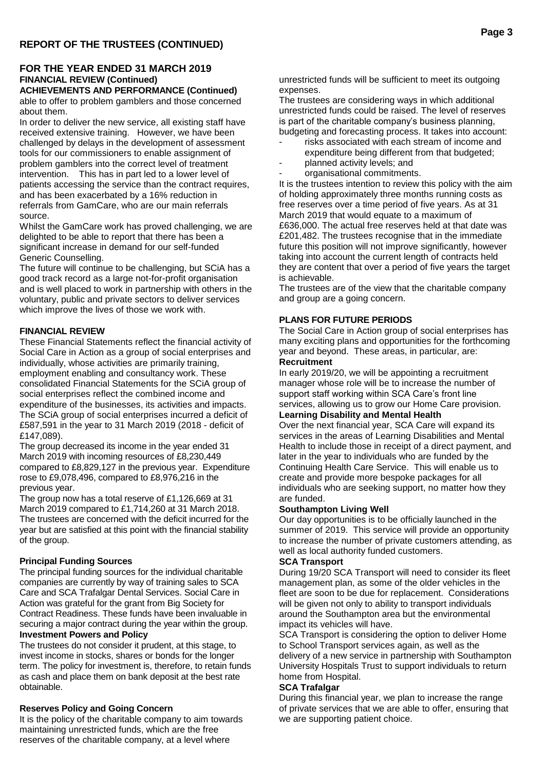## **FOR THE YEAR ENDED 31 MARCH 2019 FINANCIAL REVIEW (Continued)**

**ACHIEVEMENTS AND PERFORMANCE (Continued)** able to offer to problem gamblers and those concerned about them.

In order to deliver the new service, all existing staff have received extensive training. However, we have been challenged by delays in the development of assessment tools for our commissioners to enable assignment of problem gamblers into the correct level of treatment intervention. This has in part led to a lower level of patients accessing the service than the contract requires, and has been exacerbated by a 16% reduction in referrals from GamCare, who are our main referrals source.

Whilst the GamCare work has proved challenging, we are delighted to be able to report that there has been a significant increase in demand for our self-funded Generic Counselling.

The future will continue to be challenging, but SCiA has a good track record as a large not-for-profit organisation and is well placed to work in partnership with others in the voluntary, public and private sectors to deliver services which improve the lives of those we work with.

## **FINANCIAL REVIEW**

These Financial Statements reflect the financial activity of Social Care in Action as a group of social enterprises and individually, whose activities are primarily training, employment enabling and consultancy work. These consolidated Financial Statements for the SCiA group of social enterprises reflect the combined income and expenditure of the businesses, its activities and impacts. The SCiA group of social enterprises incurred a deficit of £587,591 in the year to 31 March 2019 (2018 - deficit of £147,089).

The group decreased its income in the year ended 31 March 2019 with incoming resources of £8,230,449 compared to £8,829,127 in the previous year. Expenditure rose to £9,078,496, compared to £8,976,216 in the previous year.

The group now has a total reserve of £1,126,669 at 31 March 2019 compared to £1,714,260 at 31 March 2018. The trustees are concerned with the deficit incurred for the year but are satisfied at this point with the financial stability of the group.

## **Principal Funding Sources**

The principal funding sources for the individual charitable companies are currently by way of training sales to SCA Care and SCA Trafalgar Dental Services. Social Care in Action was grateful for the grant from Big Society for Contract Readiness. These funds have been invaluable in securing a major contract during the year within the group. **Investment Powers and Policy**

The trustees do not consider it prudent, at this stage, to invest income in stocks, shares or bonds for the longer term. The policy for investment is, therefore, to retain funds as cash and place them on bank deposit at the best rate obtainable.

## **Reserves Policy and Going Concern**

It is the policy of the charitable company to aim towards maintaining unrestricted funds, which are the free reserves of the charitable company, at a level where

unrestricted funds will be sufficient to meet its outgoing expenses.

The trustees are considering ways in which additional unrestricted funds could be raised. The level of reserves is part of the charitable company's business planning, budgeting and forecasting process. It takes into account:

- risks associated with each stream of income and expenditure being different from that budgeted;
- planned activity levels; and

organisational commitments. It is the trustees intention to review this policy with the aim of holding approximately three months running costs as free reserves over a time period of five years. As at 31 March 2019 that would equate to a maximum of £636,000. The actual free reserves held at that date was £201,482. The trustees recognise that in the immediate future this position will not improve significantly, however taking into account the current length of contracts held they are content that over a period of five years the target is achievable.

The trustees are of the view that the charitable company and group are a going concern.

## **PLANS FOR FUTURE PERIODS**

The Social Care in Action group of social enterprises has many exciting plans and opportunities for the forthcoming year and beyond. These areas, in particular, are: **Recruitment**

In early 2019/20, we will be appointing a recruitment manager whose role will be to increase the number of support staff working within SCA Care's front line services, allowing us to grow our Home Care provision.

## **Learning Disability and Mental Health**

Over the next financial year, SCA Care will expand its services in the areas of Learning Disabilities and Mental Health to include those in receipt of a direct payment, and later in the year to individuals who are funded by the Continuing Health Care Service. This will enable us to create and provide more bespoke packages for all individuals who are seeking support, no matter how they are funded.

#### **Southampton Living Well**

Our day opportunities is to be officially launched in the summer of 2019. This service will provide an opportunity to increase the number of private customers attending, as well as local authority funded customers.

#### **SCA Transport**

During 19/20 SCA Transport will need to consider its fleet management plan, as some of the older vehicles in the fleet are soon to be due for replacement. Considerations will be given not only to ability to transport individuals around the Southampton area but the environmental impact its vehicles will have.

SCA Transport is considering the option to deliver Home to School Transport services again, as well as the delivery of a new service in partnership with Southampton University Hospitals Trust to support individuals to return home from Hospital.

## **SCA Trafalgar**

During this financial year, we plan to increase the range of private services that we are able to offer, ensuring that we are supporting patient choice.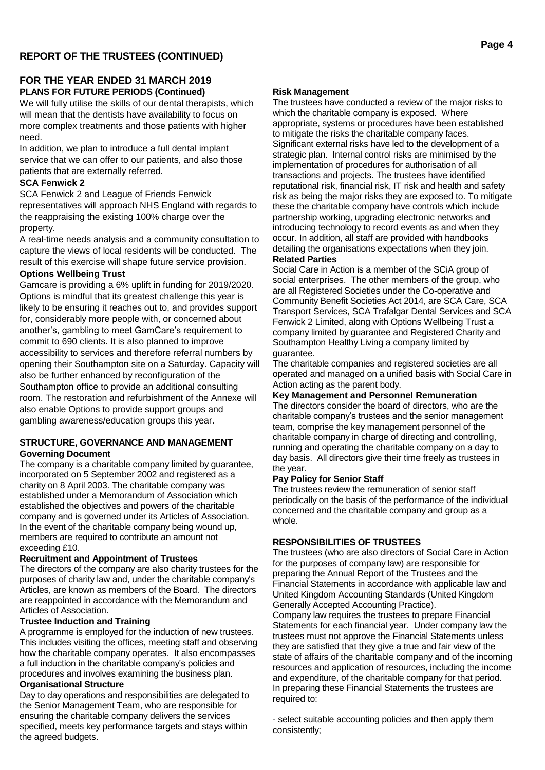## **FOR THE YEAR ENDED 31 MARCH 2019 PLANS FOR FUTURE PERIODS (Continued)**

We will fully utilise the skills of our dental therapists, which will mean that the dentists have availability to focus on more complex treatments and those patients with higher need.

In addition, we plan to introduce a full dental implant service that we can offer to our patients, and also those patients that are externally referred.

#### **SCA Fenwick 2**

SCA Fenwick 2 and League of Friends Fenwick representatives will approach NHS England with regards to the reappraising the existing 100% charge over the property.

A real-time needs analysis and a community consultation to capture the views of local residents will be conducted. The result of this exercise will shape future service provision.

#### **Options Wellbeing Trust**

Gamcare is providing a 6% uplift in funding for 2019/2020. Options is mindful that its greatest challenge this year is likely to be ensuring it reaches out to, and provides support for, considerably more people with, or concerned about another's, gambling to meet GamCare's requirement to commit to 690 clients. It is also planned to improve accessibility to services and therefore referral numbers by opening their Southampton site on a Saturday. Capacity will also be further enhanced by reconfiguration of the Southampton office to provide an additional consulting room. The restoration and refurbishment of the Annexe will also enable Options to provide support groups and gambling awareness/education groups this year.

#### **STRUCTURE, GOVERNANCE AND MANAGEMENT Governing Document**

The company is a charitable company limited by guarantee, incorporated on 5 September 2002 and registered as a charity on 8 April 2003. The charitable company was established under a Memorandum of Association which established the objectives and powers of the charitable company and is governed under its Articles of Association. In the event of the charitable company being wound up, members are required to contribute an amount not exceeding £10.

## **Recruitment and Appointment of Trustees**

The directors of the company are also charity trustees for the purposes of charity law and, under the charitable company's Articles, are known as members of the Board. The directors are reappointed in accordance with the Memorandum and Articles of Association.

## **Trustee Induction and Training**

A programme is employed for the induction of new trustees. This includes visiting the offices, meeting staff and observing how the charitable company operates. It also encompasses a full induction in the charitable company's policies and procedures and involves examining the business plan.

#### **Organisational Structure**

Day to day operations and responsibilities are delegated to the Senior Management Team, who are responsible for ensuring the charitable company delivers the services specified, meets key performance targets and stays within the agreed budgets.

#### **Risk Management**

The trustees have conducted a review of the major risks to which the charitable company is exposed. Where appropriate, systems or procedures have been established to mitigate the risks the charitable company faces. Significant external risks have led to the development of a strategic plan. Internal control risks are minimised by the implementation of procedures for authorisation of all transactions and projects. The trustees have identified reputational risk, financial risk, IT risk and health and safety risk as being the major risks they are exposed to. To mitigate these the charitable company have controls which include partnership working, upgrading electronic networks and introducing technology to record events as and when they occur. In addition, all staff are provided with handbooks detailing the organisations expectations when they join. **Related Parties**

Social Care in Action is a member of the SCiA group of social enterprises. The other members of the group, who are all Registered Societies under the Co-operative and Community Benefit Societies Act 2014, are SCA Care, SCA Transport Services, SCA Trafalgar Dental Services and SCA Fenwick 2 Limited, along with Options Wellbeing Trust a company limited by guarantee and Registered Charity and Southampton Healthy Living a company limited by guarantee.

The charitable companies and registered societies are all operated and managed on a unified basis with Social Care in Action acting as the parent body.

## **Key Management and Personnel Remuneration**

The directors consider the board of directors, who are the charitable company's trustees and the senior management team, comprise the key management personnel of the charitable company in charge of directing and controlling, running and operating the charitable company on a day to day basis. All directors give their time freely as trustees in the year.

#### **Pay Policy for Senior Staff**

The trustees review the remuneration of senior staff periodically on the basis of the performance of the individual concerned and the charitable company and group as a whole.

## **RESPONSIBILITIES OF TRUSTEES**

The trustees (who are also directors of Social Care in Action for the purposes of company law) are responsible for preparing the Annual Report of the Trustees and the Financial Statements in accordance with applicable law and United Kingdom Accounting Standards (United Kingdom Generally Accepted Accounting Practice).

Company law requires the trustees to prepare Financial Statements for each financial year. Under company law the trustees must not approve the Financial Statements unless they are satisfied that they give a true and fair view of the state of affairs of the charitable company and of the incoming resources and application of resources, including the income and expenditure, of the charitable company for that period. In preparing these Financial Statements the trustees are required to:

- select suitable accounting policies and then apply them consistently;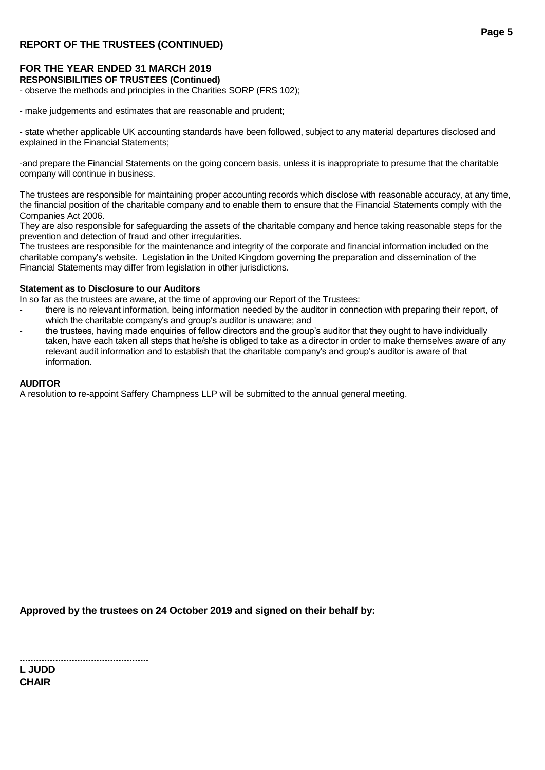## **REPORT OF THE TRUSTEES (CONTINUED)**

## **FOR THE YEAR ENDED 31 MARCH 2019**

## **RESPONSIBILITIES OF TRUSTEES (Continued)**

- observe the methods and principles in the Charities SORP (FRS 102);

- make judgements and estimates that are reasonable and prudent;

- state whether applicable UK accounting standards have been followed, subject to any material departures disclosed and explained in the Financial Statements;

-and prepare the Financial Statements on the going concern basis, unless it is inappropriate to presume that the charitable company will continue in business.

The trustees are responsible for maintaining proper accounting records which disclose with reasonable accuracy, at any time, the financial position of the charitable company and to enable them to ensure that the Financial Statements comply with the Companies Act 2006.

They are also responsible for safeguarding the assets of the charitable company and hence taking reasonable steps for the prevention and detection of fraud and other irregularities.

The trustees are responsible for the maintenance and integrity of the corporate and financial information included on the charitable company's website. Legislation in the United Kingdom governing the preparation and dissemination of the Financial Statements may differ from legislation in other jurisdictions.

#### **Statement as to Disclosure to our Auditors**

In so far as the trustees are aware, at the time of approving our Report of the Trustees:

- there is no relevant information, being information needed by the auditor in connection with preparing their report, of which the charitable company's and group's auditor is unaware; and
- the trustees, having made enquiries of fellow directors and the group's auditor that they ought to have individually taken, have each taken all steps that he/she is obliged to take as a director in order to make themselves aware of any relevant audit information and to establish that the charitable company's and group's auditor is aware of that information.

#### **AUDITOR**

A resolution to re-appoint Saffery Champness LLP will be submitted to the annual general meeting.

**Approved by the trustees on 24 October 2019 and signed on their behalf by:**

**............................................... L JUDD CHAIR**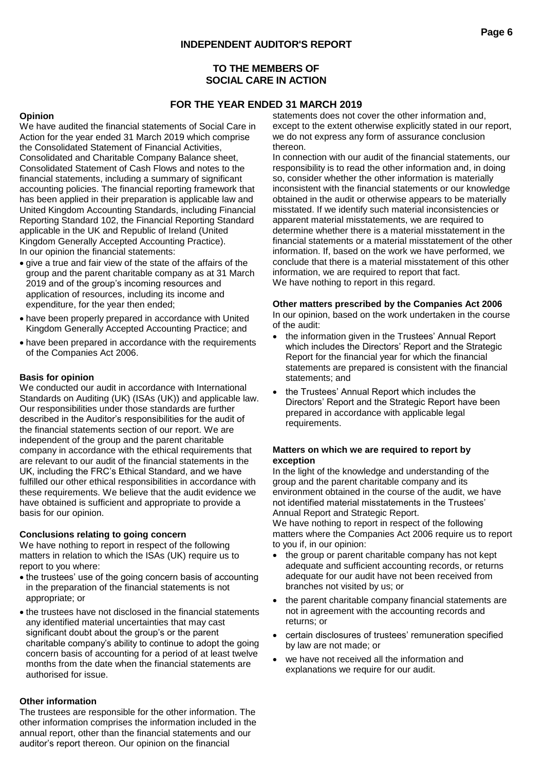## **TO THE MEMBERS OF SOCIAL CARE IN ACTION**

## **FOR THE YEAR ENDED 31 MARCH 2019**

## **Opinion**

We have audited the financial statements of Social Care in Action for the year ended 31 March 2019 which comprise the Consolidated Statement of Financial Activities, Consolidated and Charitable Company Balance sheet, Consolidated Statement of Cash Flows and notes to the financial statements, including a summary of significant accounting policies. The financial reporting framework that has been applied in their preparation is applicable law and United Kingdom Accounting Standards, including Financial Reporting Standard 102, the Financial Reporting Standard applicable in the UK and Republic of Ireland (United Kingdom Generally Accepted Accounting Practice). In our opinion the financial statements:

- give a true and fair view of the state of the affairs of the group and the parent charitable company as at 31 March 2019 and of the group's incoming resources and application of resources, including its income and expenditure, for the year then ended;
- have been properly prepared in accordance with United Kingdom Generally Accepted Accounting Practice; and
- have been prepared in accordance with the requirements of the Companies Act 2006.

## **Basis for opinion**

We conducted our audit in accordance with International Standards on Auditing (UK) (ISAs (UK)) and applicable law. Our responsibilities under those standards are further described in the Auditor's responsibilities for the audit of the financial statements section of our report. We are independent of the group and the parent charitable company in accordance with the ethical requirements that are relevant to our audit of the financial statements in the UK, including the FRC's Ethical Standard, and we have fulfilled our other ethical responsibilities in accordance with these requirements. We believe that the audit evidence we have obtained is sufficient and appropriate to provide a basis for our opinion.

#### **Conclusions relating to going concern**

We have nothing to report in respect of the following matters in relation to which the ISAs (UK) require us to report to you where:

- the trustees' use of the going concern basis of accounting in the preparation of the financial statements is not appropriate; or
- the trustees have not disclosed in the financial statements any identified material uncertainties that may cast significant doubt about the group's or the parent charitable company's ability to continue to adopt the going concern basis of accounting for a period of at least twelve months from the date when the financial statements are authorised for issue.

## **Other information**

The trustees are responsible for the other information. The other information comprises the information included in the annual report, other than the financial statements and our auditor's report thereon. Our opinion on the financial

statements does not cover the other information and, except to the extent otherwise explicitly stated in our report, we do not express any form of assurance conclusion thereon.

In connection with our audit of the financial statements, our responsibility is to read the other information and, in doing so, consider whether the other information is materially inconsistent with the financial statements or our knowledge obtained in the audit or otherwise appears to be materially misstated. If we identify such material inconsistencies or apparent material misstatements, we are required to determine whether there is a material misstatement in the financial statements or a material misstatement of the other information. If, based on the work we have performed, we conclude that there is a material misstatement of this other information, we are required to report that fact. We have nothing to report in this regard.

#### **Other matters prescribed by the Companies Act 2006**

In our opinion, based on the work undertaken in the course of the audit:

- the information given in the Trustees' Annual Report which includes the Directors' Report and the Strategic Report for the financial year for which the financial statements are prepared is consistent with the financial statements; and
- the Trustees' Annual Report which includes the Directors' Report and the Strategic Report have been prepared in accordance with applicable legal requirements.

#### **Matters on which we are required to report by exception**

In the light of the knowledge and understanding of the group and the parent charitable company and its environment obtained in the course of the audit, we have not identified material misstatements in the Trustees' Annual Report and Strategic Report.

We have nothing to report in respect of the following matters where the Companies Act 2006 require us to report to you if, in our opinion:

- the group or parent charitable company has not kept adequate and sufficient accounting records, or returns adequate for our audit have not been received from branches not visited by us; or
- the parent charitable company financial statements are not in agreement with the accounting records and returns; or
- certain disclosures of trustees' remuneration specified by law are not made; or
- we have not received all the information and explanations we require for our audit.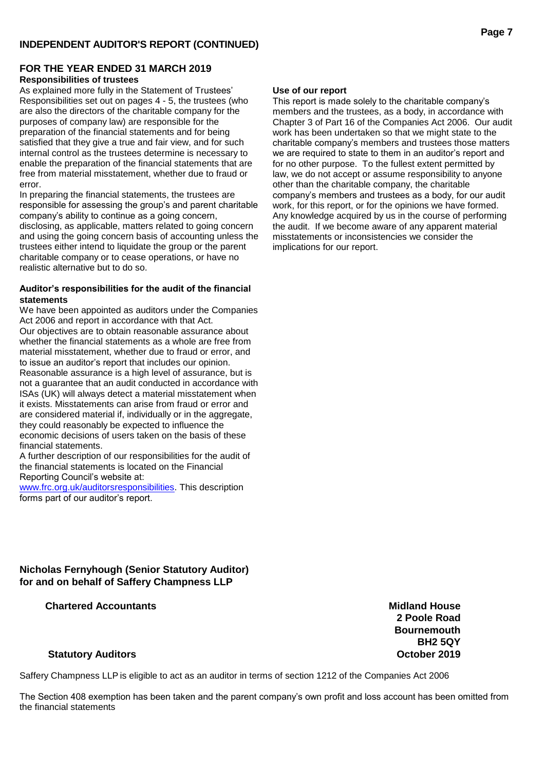## **FOR THE YEAR ENDED 31 MARCH 2019 Responsibilities of trustees**

As explained more fully in the Statement of Trustees' Responsibilities set out on pages 4 - 5, the trustees (who are also the directors of the charitable company for the purposes of company law) are responsible for the preparation of the financial statements and for being satisfied that they give a true and fair view, and for such internal control as the trustees determine is necessary to enable the preparation of the financial statements that are free from material misstatement, whether due to fraud or error.

In preparing the financial statements, the trustees are responsible for assessing the group's and parent charitable company's ability to continue as a going concern, disclosing, as applicable, matters related to going concern and using the going concern basis of accounting unless the trustees either intend to liquidate the group or the parent charitable company or to cease operations, or have no realistic alternative but to do so.

#### **Auditor's responsibilities for the audit of the financial statements**

We have been appointed as auditors under the Companies Act 2006 and report in accordance with that Act. Our objectives are to obtain reasonable assurance about whether the financial statements as a whole are free from material misstatement, whether due to fraud or error, and to issue an auditor's report that includes our opinion. Reasonable assurance is a high level of assurance, but is not a guarantee that an audit conducted in accordance with ISAs (UK) will always detect a material misstatement when it exists. Misstatements can arise from fraud or error and are considered material if, individually or in the aggregate, they could reasonably be expected to influence the economic decisions of users taken on the basis of these financial statements.

A further description of our responsibilities for the audit of the financial statements is located on the Financial Reporting Council's website at:

[www.frc.org.uk/auditorsresponsibilities.](http://www.frc.org.uk/auditorsresponsibilities) This description forms part of our auditor's report.

## **Use of our report**

This report is made solely to the charitable company's members and the trustees, as a body, in accordance with Chapter 3 of Part 16 of the Companies Act 2006. Our audit work has been undertaken so that we might state to the charitable company's members and trustees those matters we are required to state to them in an auditor's report and for no other purpose. To the fullest extent permitted by law, we do not accept or assume responsibility to anyone other than the charitable company, the charitable company's members and trustees as a body, for our audit work, for this report, or for the opinions we have formed. Any knowledge acquired by us in the course of performing the audit. If we become aware of any apparent material misstatements or inconsistencies we consider the implications for our report.

## **Nicholas Fernyhough (Senior Statutory Auditor) for and on behalf of Saffery Champness LLP**

## **Chartered Accountants Midland House**

**2 Poole Road Bournemouth BH2 5QY**

## **Statutory Auditors October 2019**

Saffery Champness LLP is eligible to act as an auditor in terms of section 1212 of the Companies Act 2006

The Section 408 exemption has been taken and the parent company's own profit and loss account has been omitted from the financial statements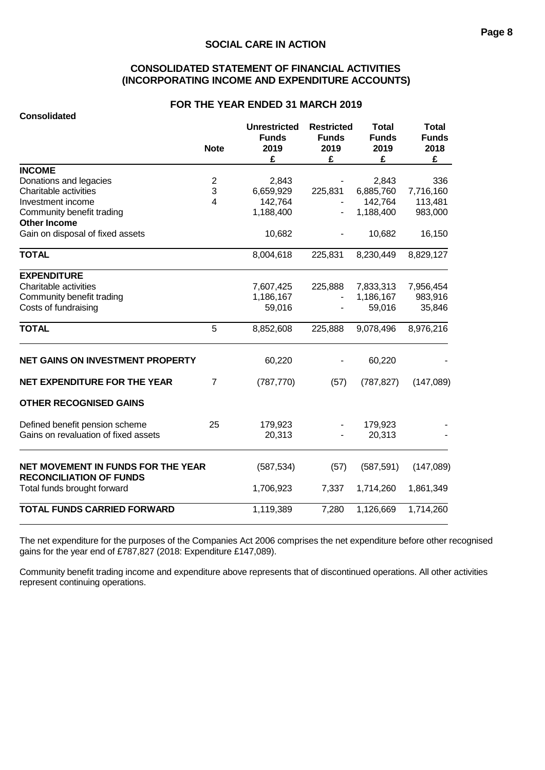## **CONSOLIDATED STATEMENT OF FINANCIAL ACTIVITIES (INCORPORATING INCOME AND EXPENDITURE ACCOUNTS)**

#### **FOR THE YEAR ENDED 31 MARCH 2019**

| <b>Consolidated</b>                                                  |                  |                                                  |                                                |                                           |                                           |
|----------------------------------------------------------------------|------------------|--------------------------------------------------|------------------------------------------------|-------------------------------------------|-------------------------------------------|
|                                                                      | <b>Note</b>      | <b>Unrestricted</b><br><b>Funds</b><br>2019<br>£ | <b>Restricted</b><br><b>Funds</b><br>2019<br>£ | <b>Total</b><br><b>Funds</b><br>2019<br>£ | <b>Total</b><br><b>Funds</b><br>2018<br>£ |
| <b>INCOME</b>                                                        |                  |                                                  |                                                |                                           |                                           |
| Donations and legacies                                               | $\boldsymbol{2}$ | 2,843                                            |                                                | 2,843                                     | 336                                       |
| Charitable activities                                                | 3                | 6,659,929                                        | 225,831                                        | 6,885,760                                 | 7,716,160                                 |
| Investment income                                                    | $\overline{4}$   | 142,764                                          |                                                | 142,764                                   | 113,481                                   |
| Community benefit trading                                            |                  | 1,188,400                                        |                                                | 1,188,400                                 | 983,000                                   |
| <b>Other Income</b>                                                  |                  |                                                  |                                                |                                           |                                           |
| Gain on disposal of fixed assets                                     |                  | 10,682                                           |                                                | 10,682                                    | 16,150                                    |
| <b>TOTAL</b>                                                         |                  | 8,004,618                                        | 225,831                                        | 8,230,449                                 | 8,829,127                                 |
| <b>EXPENDITURE</b>                                                   |                  |                                                  |                                                |                                           |                                           |
| Charitable activities                                                |                  | 7,607,425                                        | 225,888                                        | 7,833,313                                 | 7,956,454                                 |
| Community benefit trading                                            |                  | 1,186,167                                        |                                                | 1,186,167                                 | 983,916                                   |
| Costs of fundraising                                                 |                  | 59,016                                           |                                                | 59,016                                    | 35,846                                    |
| <b>TOTAL</b>                                                         | 5                | 8,852,608                                        | 225,888                                        | 9,078,496                                 | 8,976,216                                 |
| <b>NET GAINS ON INVESTMENT PROPERTY</b>                              |                  | 60,220                                           |                                                | 60,220                                    |                                           |
| <b>NET EXPENDITURE FOR THE YEAR</b>                                  | $\overline{7}$   | (787, 770)                                       | (57)                                           | (787, 827)                                | (147,089)                                 |
| <b>OTHER RECOGNISED GAINS</b>                                        |                  |                                                  |                                                |                                           |                                           |
| Defined benefit pension scheme                                       | 25               | 179,923                                          |                                                | 179,923                                   |                                           |
| Gains on revaluation of fixed assets                                 |                  | 20,313                                           |                                                | 20,313                                    |                                           |
| NET MOVEMENT IN FUNDS FOR THE YEAR<br><b>RECONCILIATION OF FUNDS</b> |                  | (587, 534)                                       | (57)                                           | (587, 591)                                | (147,089)                                 |
| Total funds brought forward                                          |                  | 1,706,923                                        | 7,337                                          | 1,714,260                                 | 1,861,349                                 |
| <b>TOTAL FUNDS CARRIED FORWARD</b>                                   |                  | 1,119,389                                        | 7,280                                          | 1,126,669                                 | 1,714,260                                 |

The net expenditure for the purposes of the Companies Act 2006 comprises the net expenditure before other recognised gains for the year end of £787,827 (2018: Expenditure £147,089).

Community benefit trading income and expenditure above represents that of discontinued operations. All other activities represent continuing operations.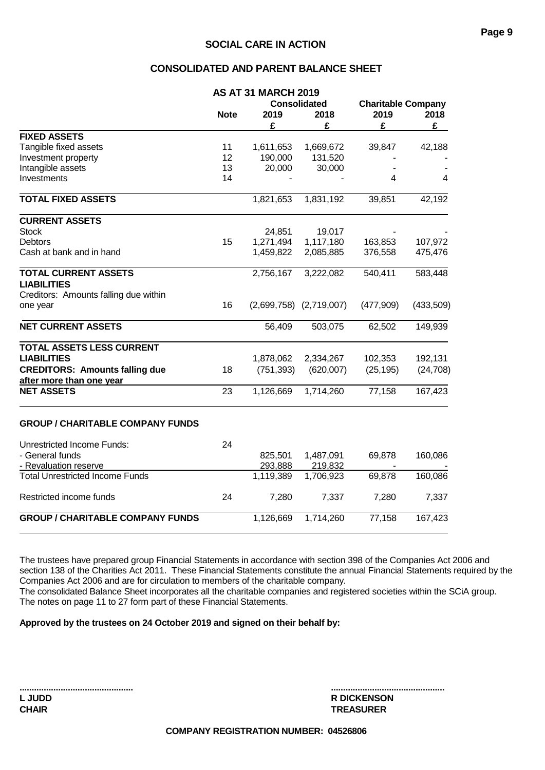## **CONSOLIDATED AND PARENT BALANCE SHEET**

|                                                   |                     | <b>AS AT 31 MARCH 2019</b> |                             |                           |           |
|---------------------------------------------------|---------------------|----------------------------|-----------------------------|---------------------------|-----------|
|                                                   |                     |                            | <b>Consolidated</b>         | <b>Charitable Company</b> |           |
|                                                   | <b>Note</b><br>2019 |                            | 2018                        | 2019                      | 2018      |
|                                                   |                     | £                          | £                           | £                         | £         |
| <b>FIXED ASSETS</b>                               |                     |                            |                             |                           |           |
| Tangible fixed assets                             | 11                  | 1,611,653                  | 1,669,672                   | 39,847                    | 42,188    |
| Investment property                               | 12                  | 190,000                    | 131,520                     |                           |           |
| Intangible assets                                 | 13                  | 20,000                     | 30,000                      |                           |           |
| Investments                                       | 14                  |                            |                             | 4                         | 4         |
| <b>TOTAL FIXED ASSETS</b>                         |                     | 1,821,653                  | 1,831,192                   | 39,851                    | 42,192    |
| <b>CURRENT ASSETS</b>                             |                     |                            |                             |                           |           |
| <b>Stock</b>                                      |                     | 24,851                     | 19,017                      |                           |           |
| <b>Debtors</b>                                    | 15                  | 1,271,494                  | 1,117,180                   | 163,853                   | 107,972   |
| Cash at bank and in hand                          |                     | 1,459,822                  | 2,085,885                   | 376,558                   | 475,476   |
| <b>TOTAL CURRENT ASSETS</b><br><b>LIABILITIES</b> |                     | 2,756,167                  | 3,222,082                   | 540,411                   | 583,448   |
| Creditors: Amounts falling due within             |                     |                            |                             |                           |           |
| one year                                          | 16                  |                            | $(2,699,758)$ $(2,719,007)$ | (477,909)                 | (433,509) |
| <b>NET CURRENT ASSETS</b>                         |                     | 56,409                     | 503,075                     | 62,502                    | 149,939   |
| TOTAL ASSETS LESS CURRENT                         |                     |                            |                             |                           |           |
| <b>LIABILITIES</b>                                |                     | 1,878,062                  | 2,334,267                   | 102,353                   | 192,131   |
| <b>CREDITORS: Amounts falling due</b>             | 18                  | (751, 393)                 | (620,007)                   | (25, 195)                 | (24, 708) |
| after more than one year                          |                     |                            |                             |                           |           |
| <b>NET ASSETS</b>                                 | 23                  | 1,126,669                  | 1,714,260                   | 77,158                    | 167,423   |
| <b>GROUP / CHARITABLE COMPANY FUNDS</b>           |                     |                            |                             |                           |           |
| <b>Unrestricted Income Funds:</b>                 | 24                  |                            |                             |                           |           |
| - General funds                                   |                     | 825,501                    | 1,487,091                   | 69,878                    | 160,086   |
| - Revaluation reserve                             |                     | 293,888                    | 219,832                     |                           |           |
| <b>Total Unrestricted Income Funds</b>            |                     | 1,119,389                  | 1,706,923                   | 69,878                    | 160,086   |
| Restricted income funds                           | 24                  | 7,280                      | 7,337                       | 7,280                     | 7,337     |
| <b>GROUP / CHARITABLE COMPANY FUNDS</b>           |                     | 1,126,669                  | 1,714,260                   | 77,158                    | 167,423   |
|                                                   |                     |                            |                             |                           |           |

The trustees have prepared group Financial Statements in accordance with section 398 of the Companies Act 2006 and section 138 of the Charities Act 2011. These Financial Statements constitute the annual Financial Statements required by the Companies Act 2006 and are for circulation to members of the charitable company. The consolidated Balance Sheet incorporates all the charitable companies and registered societies within the SCiA group. The notes on page 11 to 27 form part of these Financial Statements.

**Approved by the trustees on 24 October 2019 and signed on their behalf by:**

| <b>L</b> JUDD |  |  |
|---------------|--|--|
| <b>CHAIR</b>  |  |  |

**............................................... ............................................... R DICKENSON CHAIR TREASURER**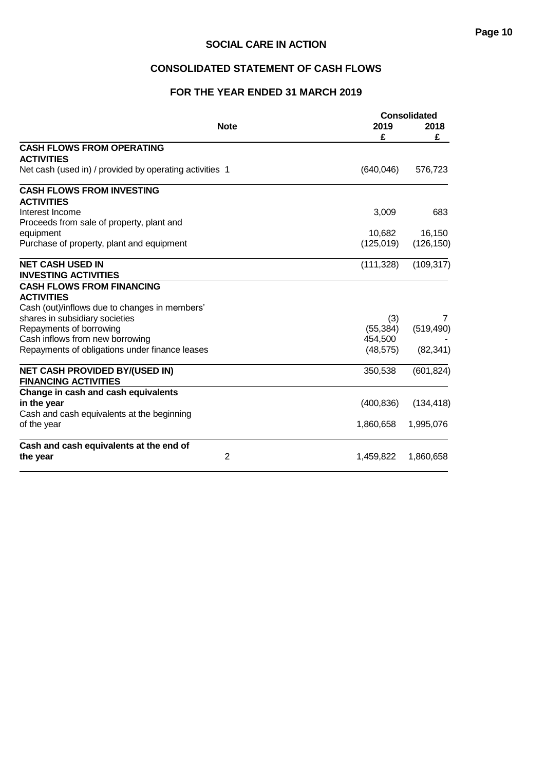## **Page 10**

## **SOCIAL CARE IN ACTION**

## **CONSOLIDATED STATEMENT OF CASH FLOWS**

## **FOR THE YEAR ENDED 31 MARCH 2019**

|                                                                      |                |            | <b>Consolidated</b> |  |  |
|----------------------------------------------------------------------|----------------|------------|---------------------|--|--|
|                                                                      | <b>Note</b>    | 2019       | 2018                |  |  |
|                                                                      |                | £          | £                   |  |  |
| <b>CASH FLOWS FROM OPERATING</b>                                     |                |            |                     |  |  |
| <b>ACTIVITIES</b>                                                    |                |            |                     |  |  |
| Net cash (used in) / provided by operating activities 1              |                | (640, 046) | 576,723             |  |  |
| <b>CASH FLOWS FROM INVESTING</b>                                     |                |            |                     |  |  |
| <b>ACTIVITIES</b>                                                    |                |            |                     |  |  |
| Interest Income                                                      |                | 3,009      | 683                 |  |  |
| Proceeds from sale of property, plant and                            |                |            |                     |  |  |
| equipment                                                            |                | 10,682     | 16,150              |  |  |
| Purchase of property, plant and equipment                            |                | (125, 019) | (126, 150)          |  |  |
| <b>NET CASH USED IN</b>                                              |                | (111, 328) | (109, 317)          |  |  |
| <b>INVESTING ACTIVITIES</b>                                          |                |            |                     |  |  |
| <b>CASH FLOWS FROM FINANCING</b>                                     |                |            |                     |  |  |
| <b>ACTIVITIES</b>                                                    |                |            |                     |  |  |
| Cash (out)/inflows due to changes in members'                        |                |            |                     |  |  |
| shares in subsidiary societies                                       |                | (3)        | 7                   |  |  |
| Repayments of borrowing                                              |                | (55, 384)  | (519, 490)          |  |  |
| Cash inflows from new borrowing                                      |                | 454,500    |                     |  |  |
| Repayments of obligations under finance leases                       |                | (48, 575)  | (82, 341)           |  |  |
| <b>NET CASH PROVIDED BY/(USED IN)</b><br><b>FINANCING ACTIVITIES</b> |                | 350,538    | (601, 824)          |  |  |
| Change in cash and cash equivalents                                  |                |            |                     |  |  |
| in the year                                                          |                | (400, 836) | (134, 418)          |  |  |
| Cash and cash equivalents at the beginning                           |                |            |                     |  |  |
| of the year                                                          |                | 1,860,658  | 1,995,076           |  |  |
| Cash and cash equivalents at the end of                              |                |            |                     |  |  |
| the year                                                             | $\overline{2}$ | 1,459,822  | 1,860,658           |  |  |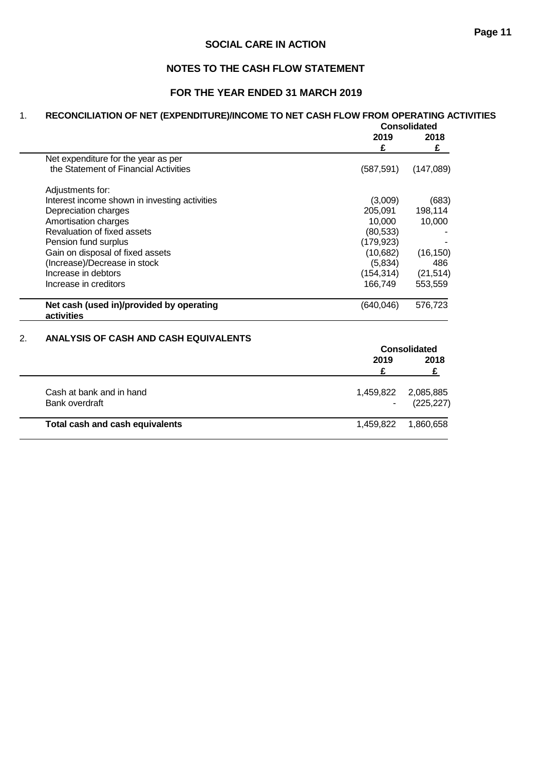## **NOTES TO THE CASH FLOW STATEMENT**

## **FOR THE YEAR ENDED 31 MARCH 2019**

## 1. **RECONCILIATION OF NET (EXPENDITURE)/INCOME TO NET CASH FLOW FROM OPERATING ACTIVITIES**

|                                                        | Consolidated |           |
|--------------------------------------------------------|--------------|-----------|
|                                                        | 2019<br>£    | 2018<br>£ |
| Net expenditure for the year as per                    |              |           |
| the Statement of Financial Activities                  | (587, 591)   | (147,089) |
| Adjustments for:                                       |              |           |
| Interest income shown in investing activities          | (3,009)      | (683)     |
| Depreciation charges                                   | 205.091      | 198,114   |
| Amortisation charges                                   | 10.000       | 10,000    |
| Revaluation of fixed assets                            | (80, 533)    |           |
| Pension fund surplus                                   | (179, 923)   |           |
| Gain on disposal of fixed assets                       | (10,682)     | (16, 150) |
| (Increase)/Decrease in stock                           | (5,834)      | 486       |
| Increase in debtors                                    | (154, 314)   | (21, 514) |
| Increase in creditors                                  | 166,749      | 553,559   |
| Net cash (used in)/provided by operating<br>activities | (640,046)    | 576,723   |

## 2. **ANALYSIS OF CASH AND CASH EQUIVALENTS**

|                                 | <b>Consolidated</b> |            |  |
|---------------------------------|---------------------|------------|--|
|                                 | 2019                | 2018       |  |
|                                 |                     |            |  |
| Cash at bank and in hand        | 1,459,822           | 2,085,885  |  |
| Bank overdraft                  |                     | (225, 227) |  |
| Total cash and cash equivalents | 1,459,822           | 1,860,658  |  |
|                                 |                     |            |  |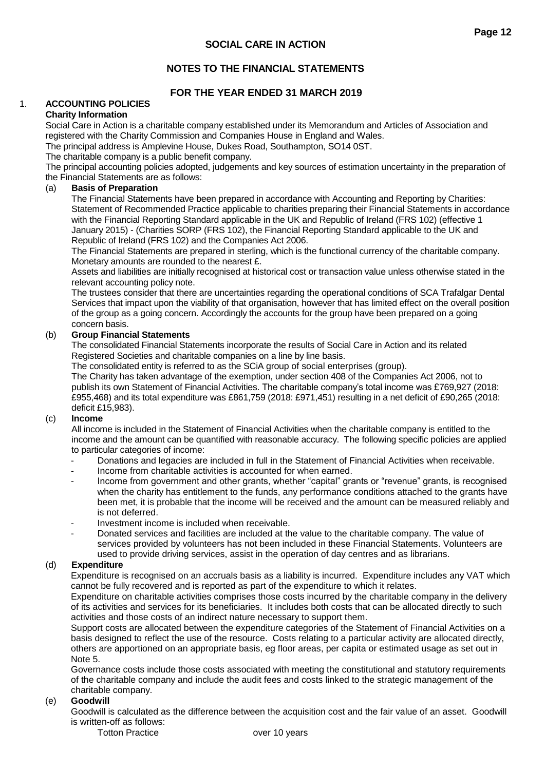## **NOTES TO THE FINANCIAL STATEMENTS**

## **FOR THE YEAR ENDED 31 MARCH 2019**

## 1. **ACCOUNTING POLICIES**

#### **Charity Information**

Social Care in Action is a charitable company established under its Memorandum and Articles of Association and registered with the Charity Commission and Companies House in England and Wales.

The principal address is Amplevine House, Dukes Road, Southampton, SO14 0ST.

The charitable company is a public benefit company.

The principal accounting policies adopted, judgements and key sources of estimation uncertainty in the preparation of the Financial Statements are as follows:

#### (a) **Basis of Preparation**

The Financial Statements have been prepared in accordance with Accounting and Reporting by Charities: Statement of Recommended Practice applicable to charities preparing their Financial Statements in accordance with the Financial Reporting Standard applicable in the UK and Republic of Ireland (FRS 102) (effective 1 January 2015) - (Charities SORP (FRS 102), the Financial Reporting Standard applicable to the UK and Republic of Ireland (FRS 102) and the Companies Act 2006.

The Financial Statements are prepared in sterling, which is the functional currency of the charitable company. Monetary amounts are rounded to the nearest £.

Assets and liabilities are initially recognised at historical cost or transaction value unless otherwise stated in the relevant accounting policy note.

The trustees consider that there are uncertainties regarding the operational conditions of SCA Trafalgar Dental Services that impact upon the viability of that organisation, however that has limited effect on the overall position of the group as a going concern. Accordingly the accounts for the group have been prepared on a going concern basis.

#### (b) **Group Financial Statements**

The consolidated Financial Statements incorporate the results of Social Care in Action and its related Registered Societies and charitable companies on a line by line basis.

The consolidated entity is referred to as the SCiA group of social enterprises (group).

The Charity has taken advantage of the exemption, under section 408 of the Companies Act 2006, not to publish its own Statement of Financial Activities. The charitable company's total income was £769,927 (2018: £955,468) and its total expenditure was £861,759 (2018: £971,451) resulting in a net deficit of £90,265 (2018: deficit £15,983).

#### (c) **Income**

All income is included in the Statement of Financial Activities when the charitable company is entitled to the income and the amount can be quantified with reasonable accuracy. The following specific policies are applied to particular categories of income:

- Donations and legacies are included in full in the Statement of Financial Activities when receivable.
- Income from charitable activities is accounted for when earned.
- Income from government and other grants, whether "capital" grants or "revenue" grants, is recognised when the charity has entitlement to the funds, any performance conditions attached to the grants have been met, it is probable that the income will be received and the amount can be measured reliably and is not deferred.
- Investment income is included when receivable.
- Donated services and facilities are included at the value to the charitable company. The value of services provided by volunteers has not been included in these Financial Statements. Volunteers are used to provide driving services, assist in the operation of day centres and as librarians.

## (d) **Expenditure**

Expenditure is recognised on an accruals basis as a liability is incurred. Expenditure includes any VAT which cannot be fully recovered and is reported as part of the expenditure to which it relates.

Expenditure on charitable activities comprises those costs incurred by the charitable company in the delivery of its activities and services for its beneficiaries. It includes both costs that can be allocated directly to such activities and those costs of an indirect nature necessary to support them.

Support costs are allocated between the expenditure categories of the Statement of Financial Activities on a basis designed to reflect the use of the resource. Costs relating to a particular activity are allocated directly, others are apportioned on an appropriate basis, eg floor areas, per capita or estimated usage as set out in Note 5.

Governance costs include those costs associated with meeting the constitutional and statutory requirements of the charitable company and include the audit fees and costs linked to the strategic management of the charitable company.

#### (e) **Goodwill**

Goodwill is calculated as the difference between the acquisition cost and the fair value of an asset. Goodwill is written-off as follows:

Totton Practice over 10 years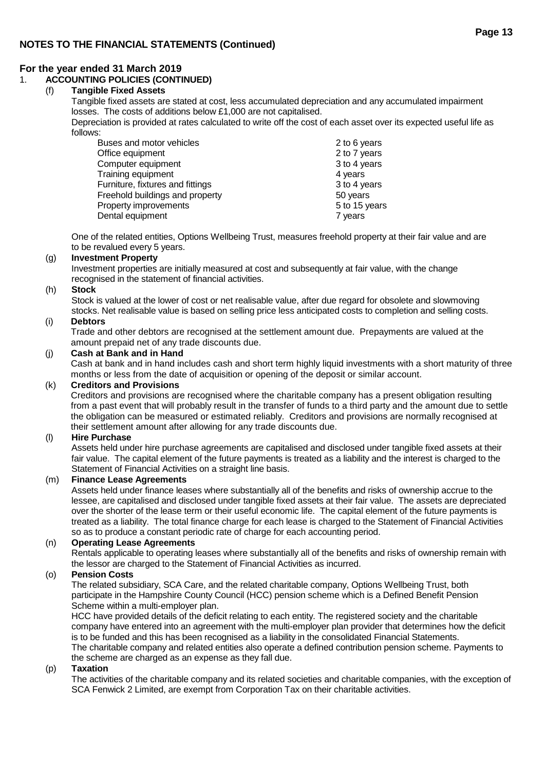## **For the year ended 31 March 2019**

## 1. **ACCOUNTING POLICIES (CONTINUED)**

## (f) **Tangible Fixed Assets**

Tangible fixed assets are stated at cost, less accumulated depreciation and any accumulated impairment losses. The costs of additions below £1,000 are not capitalised.

Depreciation is provided at rates calculated to write off the cost of each asset over its expected useful life as follows:

| Buses and motor vehicles         | 2 to 6 years  |
|----------------------------------|---------------|
| Office equipment                 | 2 to 7 years  |
| Computer equipment               | 3 to 4 years  |
| Training equipment               | 4 years       |
| Furniture, fixtures and fittings | 3 to 4 years  |
| Freehold buildings and property  | 50 years      |
| Property improvements            | 5 to 15 years |
| Dental equipment                 | 7 years       |

One of the related entities, Options Wellbeing Trust, measures freehold property at their fair value and are to be revalued every 5 years.

## (g) **Investment Property**

Investment properties are initially measured at cost and subsequently at fair value, with the change recognised in the statement of financial activities.

#### (h) **Stock**

Stock is valued at the lower of cost or net realisable value, after due regard for obsolete and slowmoving stocks. Net realisable value is based on selling price less anticipated costs to completion and selling costs.

#### (i) **Debtors**

Trade and other debtors are recognised at the settlement amount due. Prepayments are valued at the amount prepaid net of any trade discounts due.

#### (j) **Cash at Bank and in Hand**

Cash at bank and in hand includes cash and short term highly liquid investments with a short maturity of three months or less from the date of acquisition or opening of the deposit or similar account.

#### (k) **Creditors and Provisions**

Creditors and provisions are recognised where the charitable company has a present obligation resulting from a past event that will probably result in the transfer of funds to a third party and the amount due to settle the obligation can be measured or estimated reliably. Creditors and provisions are normally recognised at their settlement amount after allowing for any trade discounts due.

#### (l) **Hire Purchase**

Assets held under hire purchase agreements are capitalised and disclosed under tangible fixed assets at their fair value. The capital element of the future payments is treated as a liability and the interest is charged to the Statement of Financial Activities on a straight line basis.

#### (m) **Finance Lease Agreements**

Assets held under finance leases where substantially all of the benefits and risks of ownership accrue to the lessee, are capitalised and disclosed under tangible fixed assets at their fair value. The assets are depreciated over the shorter of the lease term or their useful economic life. The capital element of the future payments is treated as a liability. The total finance charge for each lease is charged to the Statement of Financial Activities so as to produce a constant periodic rate of charge for each accounting period.

## (n) **Operating Lease Agreements**

Rentals applicable to operating leases where substantially all of the benefits and risks of ownership remain with the lessor are charged to the Statement of Financial Activities as incurred.

## (o) **Pension Costs**

The related subsidiary, SCA Care, and the related charitable company, Options Wellbeing Trust, both participate in the Hampshire County Council (HCC) pension scheme which is a Defined Benefit Pension Scheme within a multi-employer plan.

HCC have provided details of the deficit relating to each entity. The registered society and the charitable company have entered into an agreement with the multi-employer plan provider that determines how the deficit is to be funded and this has been recognised as a liability in the consolidated Financial Statements. The charitable company and related entities also operate a defined contribution pension scheme. Payments to the scheme are charged as an expense as they fall due.

#### (p) **Taxation**

The activities of the charitable company and its related societies and charitable companies, with the exception of SCA Fenwick 2 Limited, are exempt from Corporation Tax on their charitable activities.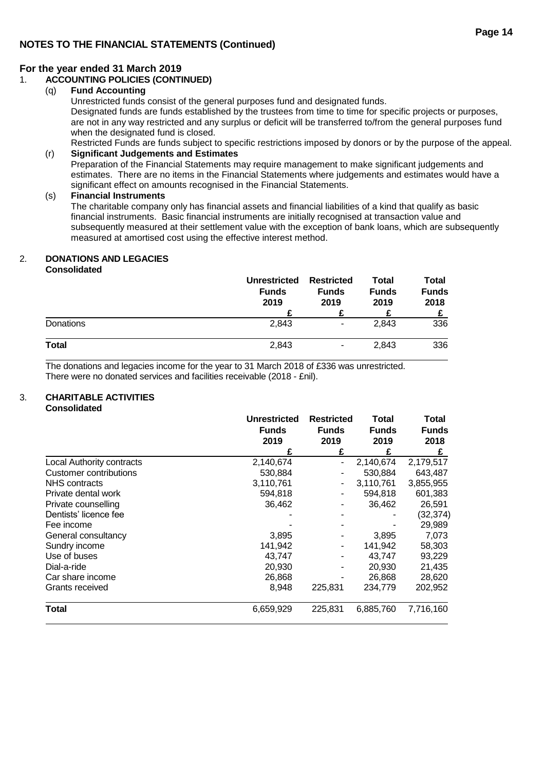## 1. **ACCOUNTING POLICIES (CONTINUED)**

## (q) **Fund Accounting**

Unrestricted funds consist of the general purposes fund and designated funds.

Designated funds are funds established by the trustees from time to time for specific projects or purposes, are not in any way restricted and any surplus or deficit will be transferred to/from the general purposes fund when the designated fund is closed.

Restricted Funds are funds subject to specific restrictions imposed by donors or by the purpose of the appeal. (r) **Significant Judgements and Estimates**

Preparation of the Financial Statements may require management to make significant judgements and estimates. There are no items in the Financial Statements where judgements and estimates would have a significant effect on amounts recognised in the Financial Statements.

#### (s) **Financial Instruments**

The charitable company only has financial assets and financial liabilities of a kind that qualify as basic financial instruments. Basic financial instruments are initially recognised at transaction value and subsequently measured at their settlement value with the exception of bank loans, which are subsequently measured at amortised cost using the effective interest method.

## 2. **DONATIONS AND LEGACIES**

**Consolidated**

|           | <b>Unrestricted</b><br><b>Funds</b><br>2019 | <b>Restricted</b><br><b>Funds</b><br>2019 | Total<br><b>Funds</b><br>2019 | Total<br><b>Funds</b><br>2018 |
|-----------|---------------------------------------------|-------------------------------------------|-------------------------------|-------------------------------|
| Donations | 2,843                                       | $\blacksquare$                            | 2,843                         | 336                           |
| Total     | 2,843                                       | ٠                                         | 2,843                         | 336                           |

The donations and legacies income for the year to 31 March 2018 of £336 was unrestricted. There were no donated services and facilities receivable (2018 - £nil).

## 3. **CHARITABLE ACTIVITIES**

**Consolidated**

|                                  | <b>Unrestricted</b><br><b>Funds</b> | <b>Restricted</b> | <b>Total</b> | Total        |
|----------------------------------|-------------------------------------|-------------------|--------------|--------------|
|                                  |                                     | <b>Funds</b>      | <b>Funds</b> | <b>Funds</b> |
|                                  | 2019                                | 2019              | 2019         | 2018         |
|                                  |                                     | £                 | £            | £            |
| <b>Local Authority contracts</b> | 2,140,674                           |                   | 2,140,674    | 2,179,517    |
| Customer contributions           | 530,884                             |                   | 530,884      | 643,487      |
| NHS contracts                    | 3,110,761                           |                   | 3,110,761    | 3,855,955    |
| Private dental work              | 594,818                             |                   | 594,818      | 601,383      |
| Private counselling              | 36,462                              |                   | 36,462       | 26,591       |
| Dentists' licence fee            |                                     |                   |              | (32,374)     |
| Fee income                       |                                     |                   |              | 29,989       |
| General consultancy              | 3,895                               |                   | 3,895        | 7,073        |
| Sundry income                    | 141,942                             |                   | 141,942      | 58,303       |
| Use of buses                     | 43,747                              |                   | 43,747       | 93,229       |
| Dial-a-ride                      | 20,930                              |                   | 20,930       | 21,435       |
| Car share income                 | 26,868                              |                   | 26,868       | 28,620       |
| Grants received                  | 8,948                               | 225,831           | 234,779      | 202,952      |
| Total                            | 6,659,929                           | 225,831           | 6,885,760    | 7,716,160    |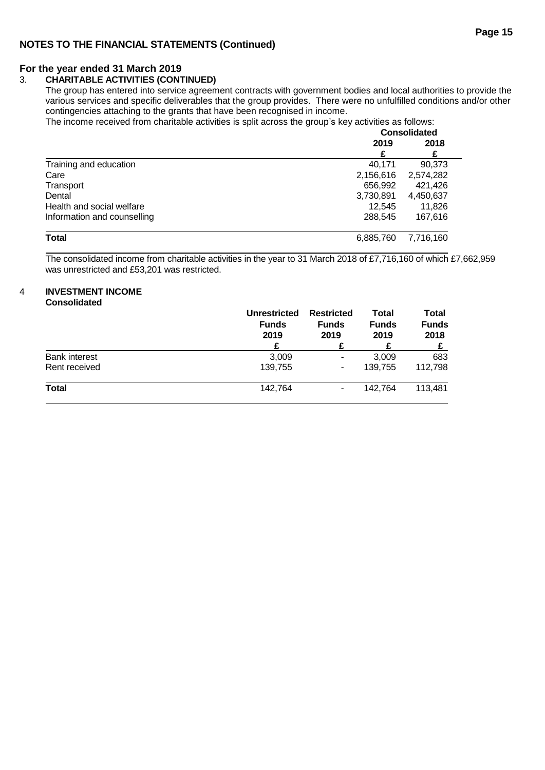## **For the year ended 31 March 2019**

## 3. **CHARITABLE ACTIVITIES (CONTINUED)**

The group has entered into service agreement contracts with government bodies and local authorities to provide the various services and specific deliverables that the group provides. There were no unfulfilled conditions and/or other contingencies attaching to the grants that have been recognised in income.

The income received from charitable activities is split across the group's key activities as follows:

|                             | <b>Consolidated</b> |           |  |
|-----------------------------|---------------------|-----------|--|
|                             | 2019                | 2018      |  |
|                             | £                   | £         |  |
| Training and education      | 40.171              | 90,373    |  |
| Care                        | 2,156,616           | 2,574,282 |  |
| Transport                   | 656,992             | 421,426   |  |
| Dental                      | 3,730,891           | 4,450,637 |  |
| Health and social welfare   | 12.545              | 11,826    |  |
| Information and counselling | 288,545             | 167,616   |  |
| <b>Total</b>                | 6,885,760           | 7,716,160 |  |

The consolidated income from charitable activities in the year to 31 March 2018 of £7,716,160 of which £7,662,959 was unrestricted and £53,201 was restricted.

#### 4 **INVESTMENT INCOME Consolidated**

|                      | <b>Unrestricted</b><br><b>Funds</b><br>2019<br>£ | <b>Restricted</b><br><b>Funds</b><br>2019 | Total<br><b>Funds</b><br>2019 | Total<br><b>Funds</b><br>2018 |
|----------------------|--------------------------------------------------|-------------------------------------------|-------------------------------|-------------------------------|
| <b>Bank interest</b> | 3,009                                            | $\blacksquare$                            | 3,009                         | 683                           |
| Rent received        | 139,755                                          | ۰                                         | 139.755                       | 112,798                       |
| <b>Total</b>         | 142,764                                          | ۰                                         | 142,764                       | 113,481                       |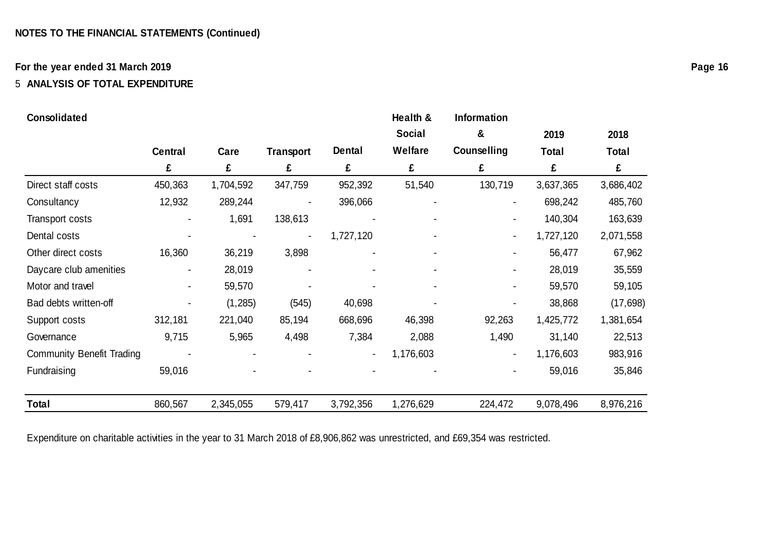## **For the year ended 31 March 2019**

## 5 **ANALYSIS OF TOTAL EXPENDITURE**

## **Consolidated Consolidated Health & Information**

|                                  |                |           |                  |               | <b>Social</b> | &              | 2019      | 2018         |
|----------------------------------|----------------|-----------|------------------|---------------|---------------|----------------|-----------|--------------|
|                                  | <b>Central</b> | Care      | <b>Transport</b> | <b>Dental</b> | Welfare       | Counselling    | Total     | <b>Total</b> |
|                                  | £              | £         | £                | £             | £             | £              | £         | £            |
| Direct staff costs               | 450,363        | 1,704,592 | 347,759          | 952,392       | 51,540        | 130,719        | 3,637,365 | 3,686,402    |
| Consultancy                      | 12,932         | 289,244   |                  | 396,066       |               | $\blacksquare$ | 698,242   | 485,760      |
| Transport costs                  |                | 1,691     | 138,613          |               |               |                | 140,304   | 163,639      |
| Dental costs                     |                |           |                  | 1,727,120     |               | ٠              | 1,727,120 | 2,071,558    |
| Other direct costs               | 16,360         | 36,219    | 3,898            |               |               |                | 56,477    | 67,962       |
| Daycare club amenities           |                | 28,019    |                  |               |               |                | 28,019    | 35,559       |
| Motor and travel                 |                | 59,570    |                  |               |               |                | 59,570    | 59,105       |
| Bad debts written-off            |                | (1, 285)  | (545)            | 40,698        |               |                | 38,868    | (17, 698)    |
| Support costs                    | 312,181        | 221,040   | 85,194           | 668,696       | 46,398        | 92,263         | 1,425,772 | 1,381,654    |
| Governance                       | 9,715          | 5,965     | 4,498            | 7,384         | 2,088         | 1,490          | 31,140    | 22,513       |
| <b>Community Benefit Trading</b> |                |           |                  |               | 1,176,603     | $\blacksquare$ | 1,176,603 | 983,916      |
| Fundraising                      | 59,016         |           |                  |               |               |                | 59,016    | 35,846       |
| Total                            | 860,567        | 2,345,055 | 579,417          | 3,792,356     | 1,276,629     | 224,472        | 9,078,496 | 8,976,216    |

Expenditure on charitable activities in the year to 31 March 2018 of £8,906,862 was unrestricted, and £69,354 was restricted.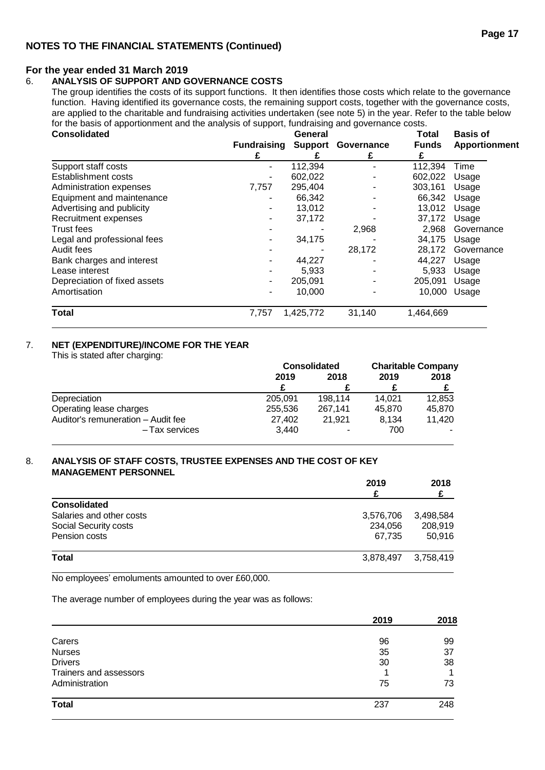## **For the year ended 31 March 2019**

## 6. **ANALYSIS OF SUPPORT AND GOVERNANCE COSTS**

The group identifies the costs of its support functions. It then identifies those costs which relate to the governance function. Having identified its governance costs, the remaining support costs, together with the governance costs, are applied to the charitable and fundraising activities undertaken (see note 5) in the year. Refer to the table below for the basis of apportionment and the analysis of support, fundraising and governance costs.

| <b>Consolidated</b>          |                    | Total     | <b>Basis of</b> |              |                      |
|------------------------------|--------------------|-----------|-----------------|--------------|----------------------|
|                              | <b>Fundraising</b> | Support   | Governance      | <b>Funds</b> | <b>Apportionment</b> |
|                              |                    |           | £               |              |                      |
| Support staff costs          | ۰                  | 112,394   |                 | 112,394      | Time                 |
| <b>Establishment costs</b>   | ۰                  | 602,022   |                 | 602,022      | Usage                |
| Administration expenses      | 7,757              | 295,404   |                 | 303,161      | Usage                |
| Equipment and maintenance    |                    | 66,342    |                 | 66,342       | Usage                |
| Advertising and publicity    | ۰                  | 13,012    |                 | 13,012       | Usage                |
| Recruitment expenses         |                    | 37,172    |                 | 37,172       | Usage                |
| Trust fees                   |                    |           | 2,968           | 2,968        | Governance           |
| Legal and professional fees  |                    | 34,175    |                 | 34,175       | Usage                |
| Audit fees                   |                    |           | 28,172          | 28,172       | Governance           |
| Bank charges and interest    | ۰                  | 44,227    |                 | 44.227       | Usage                |
| Lease interest               |                    | 5,933     |                 | 5,933        | Usage                |
| Depreciation of fixed assets | ۰                  | 205,091   |                 | 205,091      | Usage                |
| Amortisation                 | ۰                  | 10,000    |                 | 10,000       | Usage                |
| <b>Total</b>                 | 7,757              | 1,425,772 | 31,140          | 1,464,669    |                      |

## 7. **NET (EXPENDITURE)/INCOME FOR THE YEAR**

This is stated after charging:

|                                    | <b>Consolidated</b> |         | <b>Charitable Company</b> |        |
|------------------------------------|---------------------|---------|---------------------------|--------|
|                                    | 2019                | 2018    | 2019                      | 2018   |
|                                    |                     |         |                           |        |
| Depreciation                       | 205.091             | 198.114 | 14.021                    | 12.853 |
| Operating lease charges            | 255,536             | 267.141 | 45.870                    | 45,870 |
| Auditor's remuneration - Audit fee | 27,402              | 21.921  | 8.134                     | 11.420 |
| - Tax services                     | 3.440               | ۰       | 700                       |        |

#### 8. **ANALYSIS OF STAFF COSTS, TRUSTEE EXPENSES AND THE COST OF KEY MANAGEMENT PERSONNEL**

|                          | 2019      | 2018      |
|--------------------------|-----------|-----------|
| <b>Consolidated</b>      |           |           |
| Salaries and other costs | 3,576,706 | 3,498,584 |
| Social Security costs    | 234,056   | 208,919   |
| Pension costs            | 67.735    | 50,916    |
| <b>Total</b>             | 3.878.497 | 3.758.419 |

No employees' emoluments amounted to over £60,000.

The average number of employees during the year was as follows:

|                        | 2019 | 2018 |
|------------------------|------|------|
| Carers                 | 96   | 99   |
| <b>Nurses</b>          | 35   | 37   |
| <b>Drivers</b>         | 30   | 38   |
| Trainers and assessors |      |      |
| Administration         | 75   | 73   |
| <b>Total</b>           | 237  | 248  |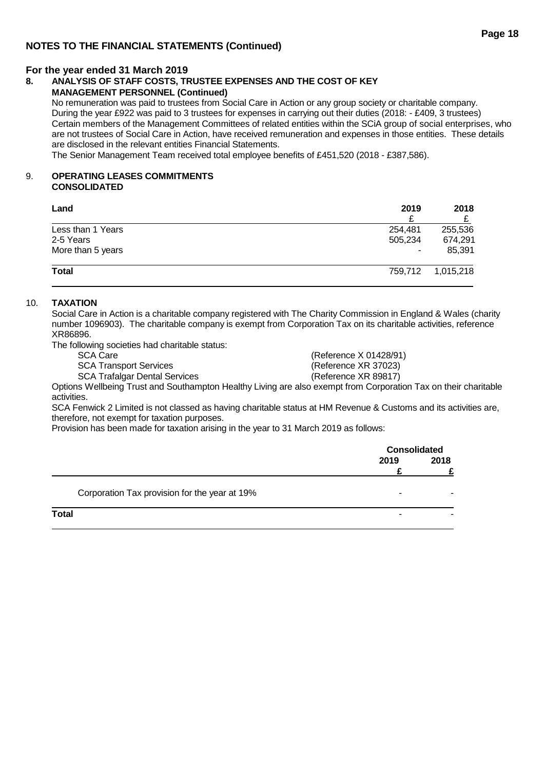## **For the year ended 31 March 2019**

#### **8. ANALYSIS OF STAFF COSTS, TRUSTEE EXPENSES AND THE COST OF KEY MANAGEMENT PERSONNEL (Continued)**

No remuneration was paid to trustees from Social Care in Action or any group society or charitable company. During the year £922 was paid to 3 trustees for expenses in carrying out their duties (2018: - £409, 3 trustees) Certain members of the Management Committees of related entities within the SCiA group of social enterprises, who are not trustees of Social Care in Action, have received remuneration and expenses in those entities. These details are disclosed in the relevant entities Financial Statements.

The Senior Management Team received total employee benefits of £451,520 (2018 - £387,586).

#### 9. **OPERATING LEASES COMMITMENTS CONSOLIDATED**

| Land              | 2019    | 2018              |  |
|-------------------|---------|-------------------|--|
|                   |         |                   |  |
| Less than 1 Years | 254,481 | 255,536           |  |
| 2-5 Years         | 505,234 | 674.291           |  |
| More than 5 years | ٠       | 85.391            |  |
| <b>Total</b>      |         | 759,712 1,015,218 |  |

#### 10. **TAXATION**

Social Care in Action is a charitable company registered with The Charity Commission in England & Wales (charity number 1096903). The charitable company is exempt from Corporation Tax on its charitable activities, reference XR86896.

The following societies had charitable status:

| <b>SCA Care</b>                                                                                                                                                                                                                                          | (Reference X 01428/91) |
|----------------------------------------------------------------------------------------------------------------------------------------------------------------------------------------------------------------------------------------------------------|------------------------|
| <b>SCA Transport Services</b>                                                                                                                                                                                                                            | (Reference XR 37023)   |
| <b>SCA Trafalgar Dental Services</b>                                                                                                                                                                                                                     | (Reference XR 89817)   |
| . WITHER IS TO SEE AND FINISHED IN THE RELATION OF STREET AND LODGED TO THE RELATION OF $\sim$ 100 $\sim$ 100 $\sim$ 100 $\sim$ 100 $\sim$ 100 $\sim$ 100 $\sim$ 100 $\sim$ 100 $\sim$ 100 $\sim$ 100 $\sim$ 100 $\sim$ 100 $\sim$ 100 $\sim$ 100 $\sim$ |                        |

Options Wellbeing Trust and Southampton Healthy Living are also exempt from Corporation Tax on their charitable activities.

SCA Fenwick 2 Limited is not classed as having charitable status at HM Revenue & Customs and its activities are, therefore, not exempt for taxation purposes.

Provision has been made for taxation arising in the year to 31 March 2019 as follows:

| <b>Consolidated</b> |      |
|---------------------|------|
| 2019                | 2018 |
|                     |      |
| -                   |      |
| -                   |      |
|                     |      |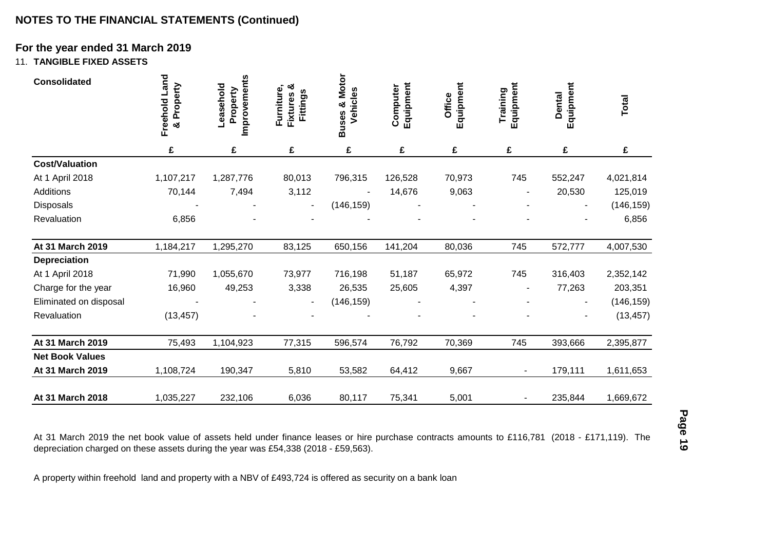## **For the year ended 31 March 2019**

## 11. **TANGIBLE FIXED ASSETS**

| <b>Consolidated</b>                                                                                                                                                                                                                                                                                                                              | Freehold Land<br>Property<br>× | Improvements<br>Leasehold<br>Property | Fixtures &<br>Furniture,<br>Fittings | <b>Buses &amp; Motor</b><br>Vehicles | Equipment<br>Computer | Equipment<br>Office | Equipment<br>Training | Equipment<br><b>Dental</b> | <b>Total</b> |
|--------------------------------------------------------------------------------------------------------------------------------------------------------------------------------------------------------------------------------------------------------------------------------------------------------------------------------------------------|--------------------------------|---------------------------------------|--------------------------------------|--------------------------------------|-----------------------|---------------------|-----------------------|----------------------------|--------------|
|                                                                                                                                                                                                                                                                                                                                                  | £                              | £                                     | £                                    | £                                    | £                     | £                   | £                     | £                          | £            |
| <b>Cost/Valuation</b>                                                                                                                                                                                                                                                                                                                            |                                |                                       |                                      |                                      |                       |                     |                       |                            |              |
| At 1 April 2018                                                                                                                                                                                                                                                                                                                                  | 1,107,217                      | 1,287,776                             | 80,013                               | 796,315                              | 126,528               | 70,973              | 745                   | 552,247                    | 4,021,814    |
| Additions                                                                                                                                                                                                                                                                                                                                        | 70,144                         | 7,494                                 | 3,112                                |                                      | 14,676                | 9,063               |                       | 20,530                     | 125,019      |
| <b>Disposals</b>                                                                                                                                                                                                                                                                                                                                 |                                |                                       |                                      | (146, 159)                           |                       |                     |                       |                            | (146, 159)   |
| Revaluation                                                                                                                                                                                                                                                                                                                                      | 6,856                          |                                       |                                      |                                      |                       |                     |                       |                            | 6,856        |
| At 31 March 2019                                                                                                                                                                                                                                                                                                                                 | 1,184,217                      | 1,295,270                             | 83,125                               | 650,156                              | 141,204               | 80,036              | 745                   | 572,777                    | 4,007,530    |
| <b>Depreciation</b>                                                                                                                                                                                                                                                                                                                              |                                |                                       |                                      |                                      |                       |                     |                       |                            |              |
| At 1 April 2018                                                                                                                                                                                                                                                                                                                                  | 71,990                         | 1,055,670                             | 73,977                               | 716,198                              | 51,187                | 65,972              | 745                   | 316,403                    | 2,352,142    |
| Charge for the year                                                                                                                                                                                                                                                                                                                              | 16,960                         | 49,253                                | 3,338                                | 26,535                               | 25,605                | 4,397               |                       | 77,263                     | 203,351      |
| Eliminated on disposal                                                                                                                                                                                                                                                                                                                           |                                |                                       |                                      | (146, 159)                           |                       |                     |                       |                            | (146, 159)   |
| Revaluation                                                                                                                                                                                                                                                                                                                                      | (13, 457)                      |                                       |                                      |                                      |                       |                     |                       |                            | (13, 457)    |
| At 31 March 2019                                                                                                                                                                                                                                                                                                                                 | 75,493                         | 1,104,923                             | 77,315                               | 596,574                              | 76,792                | 70,369              | 745                   | 393,666                    | 2,395,877    |
| <b>Net Book Values</b>                                                                                                                                                                                                                                                                                                                           |                                |                                       |                                      |                                      |                       |                     |                       |                            |              |
| At 31 March 2019                                                                                                                                                                                                                                                                                                                                 | 1,108,724                      | 190,347                               | 5,810                                | 53,582                               | 64,412                | 9,667               | $\blacksquare$        | 179,111                    | 1,611,653    |
| At 31 March 2018                                                                                                                                                                                                                                                                                                                                 | 1,035,227                      | 232,106                               | 6,036                                | 80,117                               | 75,341                | 5,001               |                       | 235,844                    | 1,669,672    |
| At 31 March 2019 the net book value of assets held under finance leases or hire purchase contracts amounts to £116,781 (2018 - £171,119). The<br>depreciation charged on these assets during the year was £54,338 (2018 - £59,563).<br>A property within freehold land and property with a NBV of £493,724 is offered as security on a bank loan |                                |                                       |                                      |                                      |                       |                     |                       |                            |              |

At 31 March 2019 the net book value of assets held under finance leases or hire purchase contracts amounts to £116,781 (2018 - £171,119). The <del>ت</del><br>At 31 March 2019 the net book value of assets held under finance leases or hire purchase contracts amounts to £116,781 (2018 - £171,119). The<br>depreciation charged on these assets during the year was £54,338 (2018 - £5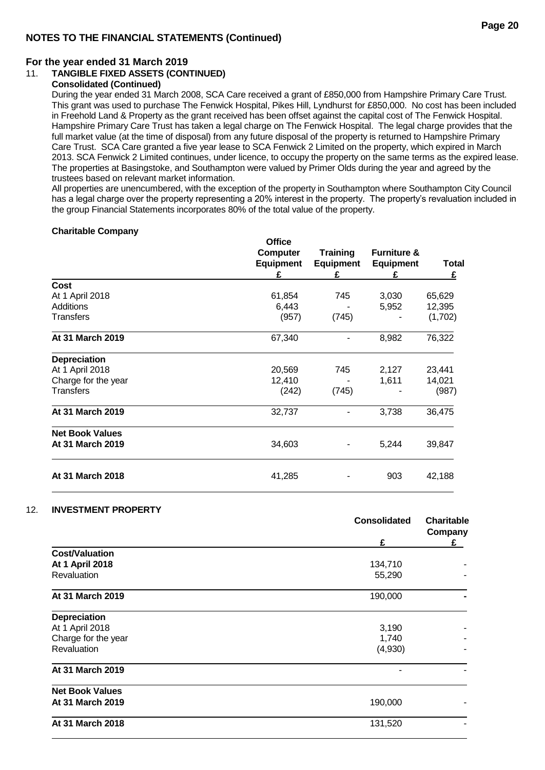## **For the year ended 31 March 2019**

## 11. **TANGIBLE FIXED ASSETS (CONTINUED)**

## **Consolidated (Continued)**

During the year ended 31 March 2008, SCA Care received a grant of £850,000 from Hampshire Primary Care Trust. This grant was used to purchase The Fenwick Hospital, Pikes Hill, Lyndhurst for £850,000. No cost has been included in Freehold Land & Property as the grant received has been offset against the capital cost of The Fenwick Hospital. Hampshire Primary Care Trust has taken a legal charge on The Fenwick Hospital. The legal charge provides that the full market value (at the time of disposal) from any future disposal of the property is returned to Hampshire Primary Care Trust. SCA Care granted a five year lease to SCA Fenwick 2 Limited on the property, which expired in March 2013. SCA Fenwick 2 Limited continues, under licence, to occupy the property on the same terms as the expired lease. The properties at Basingstoke, and Southampton were valued by Primer Olds during the year and agreed by the trustees based on relevant market information.

All properties are unencumbered, with the exception of the property in Southampton where Southampton City Council has a legal charge over the property representing a 20% interest in the property. The property's revaluation included in the group Financial Statements incorporates 80% of the total value of the property.

#### **Charitable Company**

|                        | <b>Office</b><br><b>Computer</b><br><b>Equipment</b><br>£ | <b>Training</b><br><b>Equipment</b><br>£ | <b>Furniture &amp;</b><br><b>Equipment</b><br>£ | <b>Total</b><br>£ |
|------------------------|-----------------------------------------------------------|------------------------------------------|-------------------------------------------------|-------------------|
| <b>Cost</b>            |                                                           |                                          |                                                 |                   |
| At 1 April 2018        | 61,854                                                    | 745                                      | 3,030                                           | 65,629            |
| Additions              | 6,443                                                     |                                          | 5,952                                           | 12,395            |
| Transfers              | (957)                                                     | (745)                                    |                                                 | (1,702)           |
| At 31 March 2019       | 67,340                                                    |                                          | 8,982                                           | 76,322            |
| <b>Depreciation</b>    |                                                           |                                          |                                                 |                   |
| At 1 April 2018        | 20,569                                                    | 745                                      | 2,127                                           | 23,441            |
| Charge for the year    | 12,410                                                    |                                          | 1,611                                           | 14,021            |
| Transfers              | (242)                                                     | (745)                                    |                                                 | (987)             |
| At 31 March 2019       | 32,737                                                    |                                          | 3,738                                           | 36,475            |
| <b>Net Book Values</b> |                                                           |                                          |                                                 |                   |
| At 31 March 2019       | 34,603                                                    |                                          | 5,244                                           | 39,847            |
| At 31 March 2018       | 41,285                                                    |                                          | 903                                             | 42,188            |

## 12. **INVESTMENT PROPERTY**

|                        | <b>Consolidated</b> | <b>Charitable</b><br>Company |
|------------------------|---------------------|------------------------------|
|                        | £                   | £                            |
| <b>Cost/Valuation</b>  |                     |                              |
| At 1 April 2018        | 134,710             |                              |
| Revaluation            | 55,290              |                              |
| At 31 March 2019       | 190,000             |                              |
| <b>Depreciation</b>    |                     |                              |
| At 1 April 2018        | 3,190               |                              |
| Charge for the year    | 1,740               |                              |
| Revaluation            | (4,930)             |                              |
| At 31 March 2019       | -                   |                              |
| <b>Net Book Values</b> |                     |                              |
| At 31 March 2019       | 190,000             |                              |
| At 31 March 2018       | 131,520             |                              |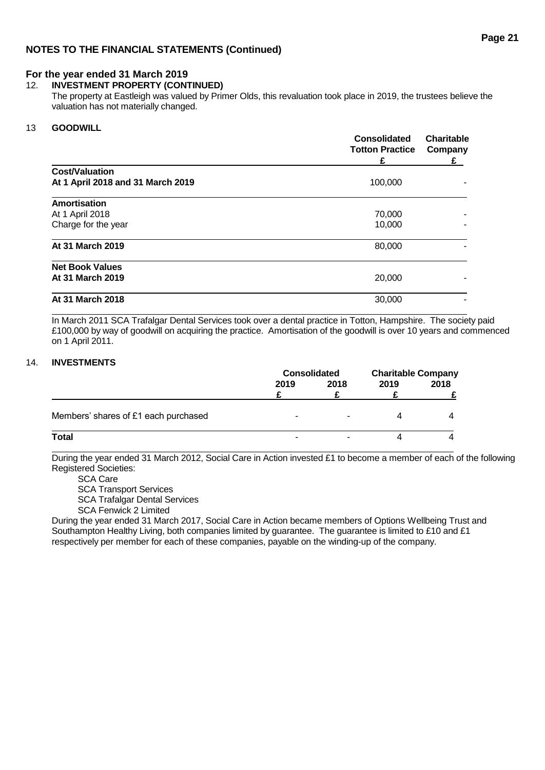## 12. **INVESTMENT PROPERTY (CONTINUED)**

The property at Eastleigh was valued by Primer Olds, this revaluation took place in 2019, the trustees believe the valuation has not materially changed.

## 13 **GOODWILL**

|                                   | <b>Consolidated</b><br><b>Totton Practice</b><br>£ | <b>Charitable</b><br>Company<br>£ |
|-----------------------------------|----------------------------------------------------|-----------------------------------|
| <b>Cost/Valuation</b>             |                                                    |                                   |
| At 1 April 2018 and 31 March 2019 | 100,000                                            |                                   |
| <b>Amortisation</b>               |                                                    |                                   |
| At 1 April 2018                   | 70,000                                             |                                   |
| Charge for the year               | 10,000                                             |                                   |
| At 31 March 2019                  | 80,000                                             |                                   |
| <b>Net Book Values</b>            |                                                    |                                   |
| At 31 March 2019                  | 20,000                                             |                                   |
| At 31 March 2018                  | 30,000                                             |                                   |

In March 2011 SCA Trafalgar Dental Services took over a dental practice in Totton, Hampshire. The society paid £100,000 by way of goodwill on acquiring the practice. Amortisation of the goodwill is over 10 years and commenced on 1 April 2011.

## 14. **INVESTMENTS**

|                                      | <b>Consolidated</b> |                          | <b>Charitable Company</b> |      |      |
|--------------------------------------|---------------------|--------------------------|---------------------------|------|------|
|                                      | 2019                |                          | 2018                      | 2019 | 2018 |
|                                      |                     |                          |                           |      |      |
| Members' shares of £1 each purchased | -                   | $\overline{\phantom{0}}$ |                           |      |      |
| <b>Total</b>                         | -                   |                          |                           |      |      |

During the year ended 31 March 2012, Social Care in Action invested £1 to become a member of each of the following Registered Societies:

SCA Care

SCA Transport Services

SCA Trafalgar Dental Services

SCA Fenwick 2 Limited

During the year ended 31 March 2017, Social Care in Action became members of Options Wellbeing Trust and Southampton Healthy Living, both companies limited by quarantee. The quarantee is limited to £10 and £1 respectively per member for each of these companies, payable on the winding-up of the company.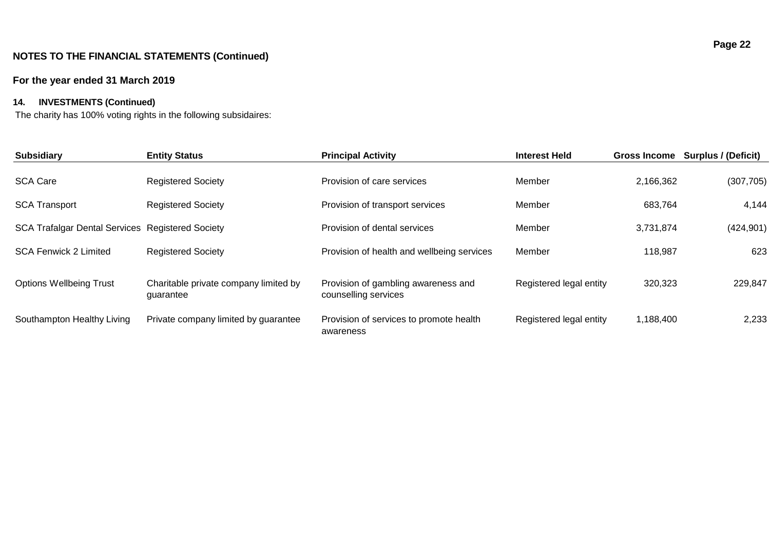## **For the year ended 31 March 2019**

## **14. INVESTMENTS (Continued)**

The charity has 100% voting rights in the following subsidaires:

| <b>Subsidiary</b>                                       | <b>Entity Status</b>                               | <b>Principal Activity</b>                                   | <b>Interest Held</b>    | <b>Gross Income</b> | Surplus / (Deficit) |
|---------------------------------------------------------|----------------------------------------------------|-------------------------------------------------------------|-------------------------|---------------------|---------------------|
| <b>SCA Care</b>                                         | <b>Registered Society</b>                          | Provision of care services                                  | Member                  | 2,166,362           | (307, 705)          |
| <b>SCA Transport</b>                                    | <b>Registered Society</b>                          | Provision of transport services                             | Member                  | 683,764             | 4,144               |
| <b>SCA Trafalgar Dental Services Registered Society</b> |                                                    | Provision of dental services                                | Member                  | 3,731,874           | (424, 901)          |
| <b>SCA Fenwick 2 Limited</b>                            | <b>Registered Society</b>                          | Provision of health and wellbeing services                  | Member                  | 118,987             | 623                 |
| <b>Options Wellbeing Trust</b>                          | Charitable private company limited by<br>guarantee | Provision of gambling awareness and<br>counselling services | Registered legal entity | 320,323             | 229,847             |
| Southampton Healthy Living                              | Private company limited by guarantee               | Provision of services to promote health<br>awareness        | Registered legal entity | 1,188,400           | 2,233               |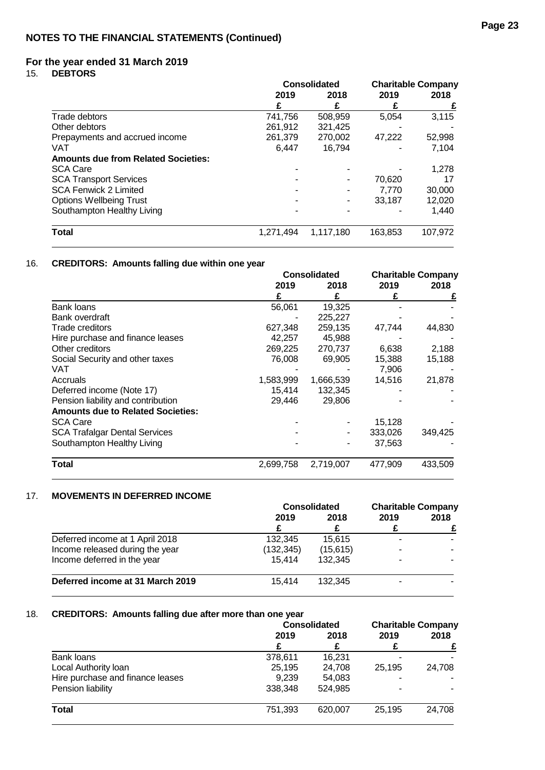15. **DEBTORS**

|                                            | <b>Consolidated</b> |           |         | <b>Charitable Company</b> |
|--------------------------------------------|---------------------|-----------|---------|---------------------------|
|                                            | 2019                | 2018      | 2019    | 2018                      |
|                                            |                     |           |         |                           |
| Trade debtors                              | 741,756             | 508,959   | 5,054   | 3,115                     |
| Other debtors                              | 261,912             | 321,425   |         |                           |
| Prepayments and accrued income             | 261,379             | 270,002   | 47.222  | 52,998                    |
| VAT                                        | 6.447               | 16,794    |         | 7,104                     |
| <b>Amounts due from Related Societies:</b> |                     |           |         |                           |
| <b>SCA Care</b>                            |                     |           |         | 1,278                     |
| <b>SCA Transport Services</b>              |                     |           | 70,620  | 17                        |
| <b>SCA Fenwick 2 Limited</b>               |                     |           | 7.770   | 30,000                    |
| <b>Options Wellbeing Trust</b>             |                     |           | 33.187  | 12,020                    |
| Southampton Healthy Living                 |                     |           |         | 1,440                     |
| <b>Total</b>                               | 1.271.494           | 1,117,180 | 163.853 | 107,972                   |

## 16. **CREDITORS: Amounts falling due within one year**

|                                          | <b>Consolidated</b> |           |         | <b>Charitable Company</b> |
|------------------------------------------|---------------------|-----------|---------|---------------------------|
|                                          | 2019                | 2018      | 2019    | 2018                      |
|                                          | £                   | £         |         | £                         |
| <b>Bank loans</b>                        | 56,061              | 19,325    |         |                           |
| Bank overdraft                           |                     | 225,227   |         |                           |
| <b>Trade creditors</b>                   | 627,348             | 259,135   | 47,744  | 44,830                    |
| Hire purchase and finance leases         | 42,257              | 45,988    |         |                           |
| Other creditors                          | 269,225             | 270,737   | 6,638   | 2,188                     |
| Social Security and other taxes          | 76,008              | 69,905    | 15,388  | 15,188                    |
| VAT                                      |                     |           | 7.906   |                           |
| Accruals                                 | 1,583,999           | 1,666,539 | 14,516  | 21,878                    |
| Deferred income (Note 17)                | 15,414              | 132,345   |         |                           |
| Pension liability and contribution       | 29,446              | 29,806    |         |                           |
| <b>Amounts due to Related Societies:</b> |                     |           |         |                           |
| <b>SCA Care</b>                          |                     |           | 15,128  |                           |
| <b>SCA Trafalgar Dental Services</b>     |                     |           | 333,026 | 349,425                   |
| Southampton Healthy Living               |                     |           | 37,563  |                           |
| Total                                    | 2,699,758           | 2,719,007 | 477,909 | 433,509                   |

## 17. **MOVEMENTS IN DEFERRED INCOME**

|                                  | <b>Consolidated</b> |          | <b>Charitable Company</b> |      |
|----------------------------------|---------------------|----------|---------------------------|------|
|                                  | 2019                | 2018     | 2019                      | 2018 |
|                                  |                     |          |                           |      |
| Deferred income at 1 April 2018  | 132.345             | 15.615   |                           |      |
| Income released during the year  | (132, 345)          | (15,615) | -                         |      |
| Income deferred in the year      | 15.414              | 132.345  | -                         |      |
| Deferred income at 31 March 2019 | 15.414              | 132.345  |                           |      |

## 18. **CREDITORS: Amounts falling due after more than one year**

|                                  | <b>Consolidated</b> |         |        | <b>Charitable Company</b> |  |  |  |  |  |  |  |  |  |  |  |  |  |  |  |  |  |
|----------------------------------|---------------------|---------|--------|---------------------------|--|--|--|--|--|--|--|--|--|--|--|--|--|--|--|--|--|
|                                  | 2019                | 2018    | 2019   | 2018                      |  |  |  |  |  |  |  |  |  |  |  |  |  |  |  |  |  |
|                                  |                     |         |        |                           |  |  |  |  |  |  |  |  |  |  |  |  |  |  |  |  |  |
| Bank loans                       | 378,611             | 16.231  |        |                           |  |  |  |  |  |  |  |  |  |  |  |  |  |  |  |  |  |
| Local Authority loan             | 25,195              | 24.708  | 25.195 | 24.708                    |  |  |  |  |  |  |  |  |  |  |  |  |  |  |  |  |  |
| Hire purchase and finance leases | 9.239               | 54,083  |        |                           |  |  |  |  |  |  |  |  |  |  |  |  |  |  |  |  |  |
| Pension liability                | 338.348             | 524.985 |        |                           |  |  |  |  |  |  |  |  |  |  |  |  |  |  |  |  |  |
| <b>Total</b>                     | 751,393             | 620,007 | 25,195 | 24,708                    |  |  |  |  |  |  |  |  |  |  |  |  |  |  |  |  |  |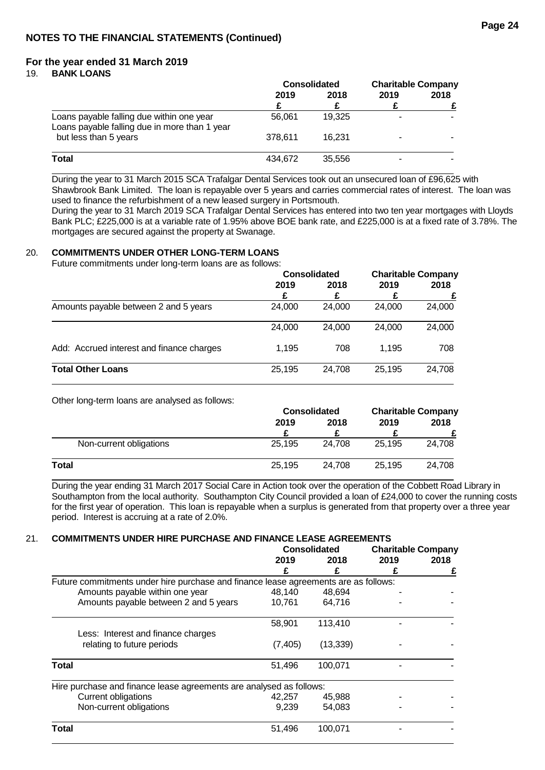19. **BANK LOANS**

|                                                                                            | <b>Consolidated</b> |        | <b>Charitable Company</b> |      |  |  |  |  |  |  |
|--------------------------------------------------------------------------------------------|---------------------|--------|---------------------------|------|--|--|--|--|--|--|
|                                                                                            | 2019                | 2018   | 2019                      | 2018 |  |  |  |  |  |  |
|                                                                                            |                     |        |                           |      |  |  |  |  |  |  |
| Loans payable falling due within one year<br>Loans payable falling due in more than 1 year | 56.061              | 19.325 |                           |      |  |  |  |  |  |  |
| but less than 5 years                                                                      | 378.611             | 16.231 |                           |      |  |  |  |  |  |  |
| Total                                                                                      | 434.672             | 35.556 |                           |      |  |  |  |  |  |  |

During the year to 31 March 2015 SCA Trafalgar Dental Services took out an unsecured loan of £96,625 with Shawbrook Bank Limited. The loan is repayable over 5 years and carries commercial rates of interest. The loan was used to finance the refurbishment of a new leased surgery in Portsmouth.

During the year to 31 March 2019 SCA Trafalgar Dental Services has entered into two ten year mortgages with Lloyds Bank PLC; £225,000 is at a variable rate of 1.95% above BOE bank rate, and £225,000 is at a fixed rate of 3.78%. The mortgages are secured against the property at Swanage.

## 20. **COMMITMENTS UNDER OTHER LONG-TERM LOANS**

Future commitments under long-term loans are as follows:

| <b>Consolidated</b> |        | <b>Charitable Company</b> |        |  |  |  |      |      |      |
|---------------------|--------|---------------------------|--------|--|--|--|------|------|------|
| 2019                |        |                           |        |  |  |  | 2018 | 2019 | 2018 |
|                     | £      |                           |        |  |  |  |      |      |      |
| 24,000              | 24.000 | 24.000                    | 24,000 |  |  |  |      |      |      |
| 24,000              | 24.000 | 24,000                    | 24,000 |  |  |  |      |      |      |
| 1.195               | 708    | 1.195                     | 708    |  |  |  |      |      |      |
| 25,195              | 24.708 | 25.195                    | 24,708 |  |  |  |      |      |      |
|                     |        |                           |        |  |  |  |      |      |      |

Other long-term loans are analysed as follows:

|                         | <b>Consolidated</b> |        | <b>Charitable Company</b> |        |      |
|-------------------------|---------------------|--------|---------------------------|--------|------|
|                         | 2019                |        | 2018                      | 2019   | 2018 |
|                         |                     |        |                           |        |      |
| Non-current obligations | 25.195              | 24.708 | 25.195                    | 24.708 |      |
| Total                   | 25.195              | 24.708 | 25.195                    | 24.708 |      |

During the year ending 31 March 2017 Social Care in Action took over the operation of the Cobbett Road Library in Southampton from the local authority. Southampton City Council provided a loan of £24,000 to cover the running costs for the first year of operation. This loan is repayable when a surplus is generated from that property over a three year period. Interest is accruing at a rate of 2.0%.

## 21. **COMMITMENTS UNDER HIRE PURCHASE AND FINANCE LEASE AGREEMENTS**

|                                                                                     | <b>Consolidated</b> |           | <b>Charitable Company</b> |      |
|-------------------------------------------------------------------------------------|---------------------|-----------|---------------------------|------|
|                                                                                     | 2019                | 2018      | 2019                      | 2018 |
|                                                                                     |                     |           |                           |      |
| Future commitments under hire purchase and finance lease agreements are as follows: |                     |           |                           |      |
| Amounts payable within one year                                                     | 48,140              | 48.694    |                           |      |
| Amounts payable between 2 and 5 years                                               | 10,761              | 64,716    |                           |      |
|                                                                                     | 58.901              | 113.410   |                           |      |
| Less: Interest and finance charges                                                  |                     |           |                           |      |
| relating to future periods                                                          | (7, 405)            | (13, 339) |                           |      |
| <b>Total</b>                                                                        | 51,496              | 100,071   |                           |      |
| Hire purchase and finance lease agreements are analysed as follows:                 |                     |           |                           |      |
| <b>Current obligations</b>                                                          | 42,257              | 45,988    |                           |      |
| Non-current obligations                                                             | 9,239               | 54,083    |                           |      |
| Total                                                                               | 51,496              | 100,071   |                           |      |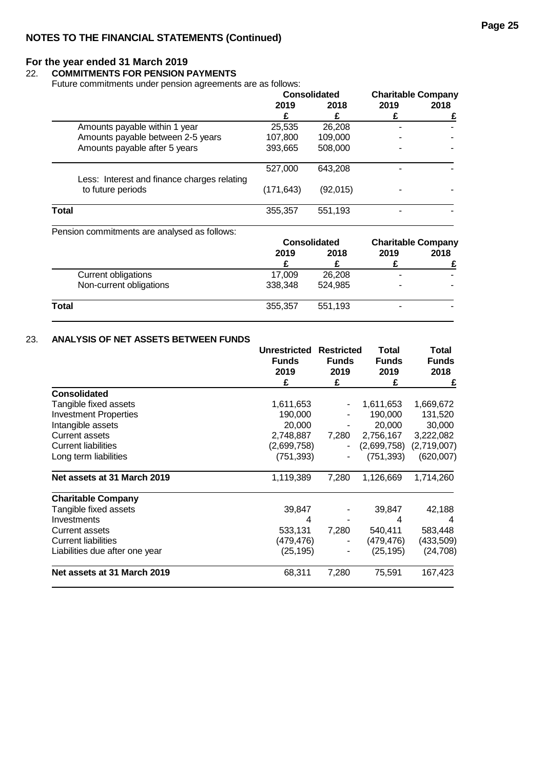## 22. **COMMITMENTS FOR PENSION PAYMENTS**

Future commitments under pension agreements are as follows:

|           | <b>Consolidated</b> |      |                           |
|-----------|---------------------|------|---------------------------|
| 2019      | 2018                | 2019 | 2018                      |
|           |                     |      |                           |
| 25,535    | 26,208              |      |                           |
| 107,800   | 109,000             |      |                           |
| 393,665   | 508,000             |      |                           |
| 527,000   | 643,208             |      |                           |
| (171,643) | (92,015)            |      |                           |
| 355,357   | 551,193             |      |                           |
|           |                     |      | <b>Charitable Company</b> |

Pension commitments are analysed as follows:

| <b>Consolidated</b> |         | <b>Charitable Company</b> |      |      |
|---------------------|---------|---------------------------|------|------|
| 2019                |         | 2018                      | 2019 | 2018 |
|                     |         |                           |      |      |
| 17.009              | 26,208  |                           |      |      |
| 338,348             | 524.985 | ۰                         |      |      |
| 355,357             | 551,193 | -                         |      |      |
|                     |         |                           |      |      |

## 23. **ANALYSIS OF NET ASSETS BETWEEN FUNDS**

|                                | <b>Unrestricted</b><br><b>Funds</b><br>2019 | <b>Restricted</b><br><b>Funds</b><br>2019 | Total<br><b>Funds</b><br>2019 | Total<br><b>Funds</b><br>2018 |
|--------------------------------|---------------------------------------------|-------------------------------------------|-------------------------------|-------------------------------|
|                                | £                                           | £                                         | £                             | £                             |
| <b>Consolidated</b>            |                                             |                                           |                               |                               |
| Tangible fixed assets          | 1,611,653                                   |                                           | 1,611,653                     | 1,669,672                     |
| <b>Investment Properties</b>   | 190,000                                     |                                           | 190,000                       | 131,520                       |
| Intangible assets              | 20,000                                      |                                           | 20,000                        | 30,000                        |
| <b>Current assets</b>          | 2,748,887                                   | 7,280                                     | 2,756,167                     | 3,222,082                     |
| <b>Current liabilities</b>     | (2,699,758)                                 |                                           | (2,699,758)                   | (2,719,007)                   |
| Long term liabilities          | (751, 393)                                  |                                           | (751,393)                     | (620,007)                     |
| Net assets at 31 March 2019    | 1,119,389                                   | 7,280                                     | 1,126,669                     | 1,714,260                     |
| <b>Charitable Company</b>      |                                             |                                           |                               |                               |
| Tangible fixed assets          | 39,847                                      |                                           | 39,847                        | 42,188                        |
| Investments                    | 4                                           |                                           | 4                             | 4                             |
| <b>Current assets</b>          | 533,131                                     | 7,280                                     | 540,411                       | 583,448                       |
| <b>Current liabilities</b>     | (479,476)                                   |                                           | (479,476)                     | (433,509)                     |
| Liabilities due after one year | (25, 195)                                   |                                           | (25, 195)                     | (24, 708)                     |
| Net assets at 31 March 2019    | 68,311                                      | 7,280                                     | 75,591                        | 167,423                       |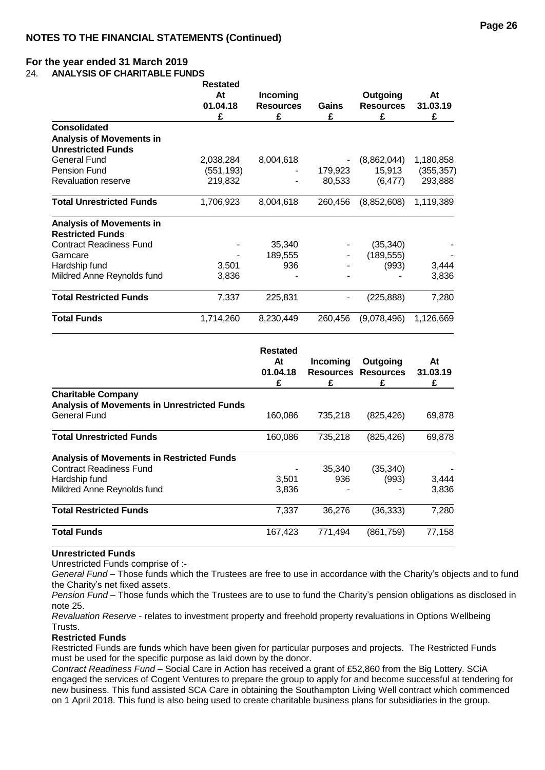24. **ANALYSIS OF CHARITABLE FUNDS**

|                                 | <b>Restated</b><br>At<br>01.04.18<br>£ | Incoming<br><b>Resources</b><br>£ | Gains<br>£ | Outgoing<br><b>Resources</b><br>£ | At<br>31.03.19<br>£ |
|---------------------------------|----------------------------------------|-----------------------------------|------------|-----------------------------------|---------------------|
| <b>Consolidated</b>             |                                        |                                   |            |                                   |                     |
| <b>Analysis of Movements in</b> |                                        |                                   |            |                                   |                     |
| <b>Unrestricted Funds</b>       |                                        |                                   |            |                                   |                     |
| General Fund                    | 2,038,284                              | 8,004,618                         |            | (8,862,044)                       | 1,180,858           |
| <b>Pension Fund</b>             | (551, 193)                             |                                   | 179,923    | 15,913                            | (355, 357)          |
| <b>Revaluation reserve</b>      | 219,832                                |                                   | 80,533     | (6, 477)                          | 293,888             |
| <b>Total Unrestricted Funds</b> | 1,706,923                              | 8,004,618                         | 260,456    | (8,852,608)                       | 1,119,389           |
| <b>Analysis of Movements in</b> |                                        |                                   |            |                                   |                     |
| <b>Restricted Funds</b>         |                                        |                                   |            |                                   |                     |
| <b>Contract Readiness Fund</b>  |                                        | 35,340                            |            | (35, 340)                         |                     |
| Gamcare                         |                                        | 189,555                           |            | (189, 555)                        |                     |
| Hardship fund                   | 3,501                                  | 936                               |            | (993)                             | 3,444               |
| Mildred Anne Reynolds fund      | 3,836                                  |                                   |            |                                   | 3,836               |
| <b>Total Restricted Funds</b>   | 7,337                                  | 225,831                           |            | (225, 888)                        | 7,280               |
| <b>Total Funds</b>              | 1,714,260                              | 8,230,449                         | 260,456    | (9,078,496)                       | 1,126,669           |

|                                                    | Restated<br>At<br>01.04.18<br>£ | Incoming<br>Resources<br>£ | Outgoing<br><b>Resources</b><br>£ | At<br>31.03.19<br>£ |
|----------------------------------------------------|---------------------------------|----------------------------|-----------------------------------|---------------------|
| <b>Charitable Company</b>                          |                                 |                            |                                   |                     |
| <b>Analysis of Movements in Unrestricted Funds</b> |                                 |                            |                                   |                     |
| <b>General Fund</b>                                | 160,086                         | 735,218                    | (825, 426)                        | 69,878              |
| <b>Total Unrestricted Funds</b>                    | 160,086                         | 735,218                    | (825, 426)                        | 69,878              |
| <b>Analysis of Movements in Restricted Funds</b>   |                                 |                            |                                   |                     |
| <b>Contract Readiness Fund</b>                     |                                 | 35,340                     | (35, 340)                         |                     |
| Hardship fund                                      | 3,501                           | 936                        | (993)                             | 3,444               |
| Mildred Anne Reynolds fund                         | 3,836                           |                            |                                   | 3,836               |
| <b>Total Restricted Funds</b>                      | 7,337                           | 36,276                     | (36, 333)                         | 7,280               |
| <b>Total Funds</b>                                 | 167,423                         | 771,494                    | (861,759)                         | 77,158              |

#### **Unrestricted Funds**

Unrestricted Funds comprise of :-

*General Fund* – Those funds which the Trustees are free to use in accordance with the Charity's objects and to fund the Charity's net fixed assets.

*Pension Fund* – Those funds which the Trustees are to use to fund the Charity's pension obligations as disclosed in note 25.

*Revaluation Reserve* - relates to investment property and freehold property revaluations in Options Wellbeing Trusts.

#### **Restricted Funds**

Restricted Funds are funds which have been given for particular purposes and projects. The Restricted Funds must be used for the specific purpose as laid down by the donor.

*Contract Readiness Fund* – Social Care in Action has received a grant of £52,860 from the Big Lottery. SCiA engaged the services of Cogent Ventures to prepare the group to apply for and become successful at tendering for new business. This fund assisted SCA Care in obtaining the Southampton Living Well contract which commenced on 1 April 2018. This fund is also being used to create charitable business plans for subsidiaries in the group.